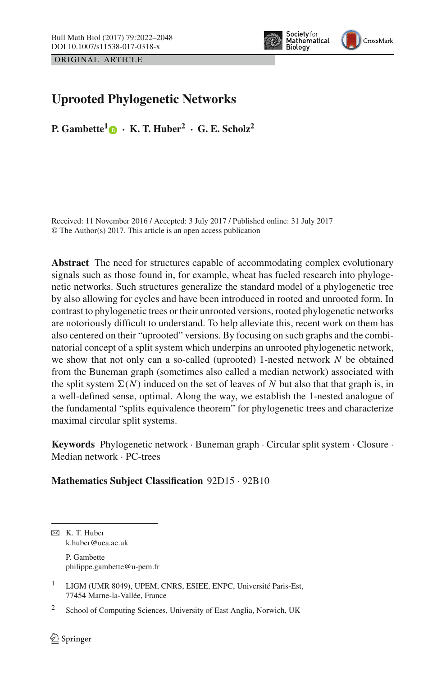ORIGINAL ARTICLE



# **Uprooted Phylogenetic Networks**

**P.** Gambette<sup>[1](http://orcid.org/0000-0001-7062-0262)</sup>  $\bullet$  **· K.** T. Huber<sup>2</sup> **·** G. E. Scholz<sup>2</sup>

Received: 11 November 2016 / Accepted: 3 July 2017 / Published online: 31 July 2017 © The Author(s) 2017. This article is an open access publication

**Abstract** The need for structures capable of accommodating complex evolutionary signals such as those found in, for example, wheat has fueled research into phylogenetic networks. Such structures generalize the standard model of a phylogenetic tree by also allowing for cycles and have been introduced in rooted and unrooted form. In contrast to phylogenetic trees or their unrooted versions, rooted phylogenetic networks are notoriously difficult to understand. To help alleviate this, recent work on them has also centered on their "uprooted" versions. By focusing on such graphs and the combinatorial concept of a split system which underpins an unrooted phylogenetic network, we show that not only can a so-called (uprooted) 1-nested network *N* be obtained from the Buneman graph (sometimes also called a median network) associated with the split system  $\Sigma(N)$  induced on the set of leaves of N but also that that graph is, in a well-defined sense, optimal. Along the way, we establish the 1-nested analogue of the fundamental "splits equivalence theorem" for phylogenetic trees and characterize maximal circular split systems.

**Keywords** Phylogenetic network · Buneman graph · Circular split system · Closure · Median network · PC-trees

#### **Mathematics Subject Classification** 92D15 · 92B10

B K. T. Huber k.huber@uea.ac.uk P. Gambette philippe.gambette@u-pem.fr

<sup>1</sup> LIGM (UMR 8049), UPEM, CNRS, ESIEE, ENPC, Université Paris-Est, 77454 Marne-la-Vallée, France

<sup>2</sup> School of Computing Sciences, University of East Anglia, Norwich, UK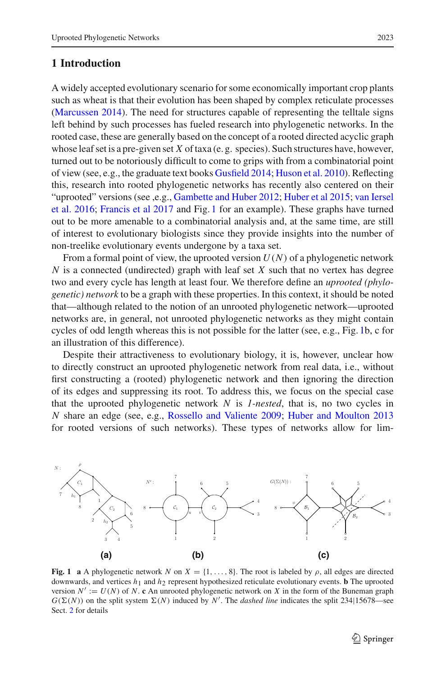#### <span id="page-1-1"></span>**1 Introduction**

A widely accepted evolutionary scenario for some economically important crop plants such as wheat is that their evolution has been shaped by complex reticulate processes [\(Marcussen 2014](#page-26-0)). The need for structures capable of representing the telltale signs left behind by such processes has fueled research into phylogenetic networks. In the rooted case, these are generally based on the concept of a rooted directed acyclic graph whose leaf set is a pre-given set *X* of taxa (e. g. species). Such structures have, however, turned out to be notoriously difficult to come to grips with from a combinatorial point of view (see, e.g., the graduate text books [Gusfield 2014](#page-25-0); [Huson et al. 2010\)](#page-25-1). Reflecting this, research into rooted phylogenetic networks has recently also centered on their "uprooted" versions (see ,e.g., [Gambette and Huber 2012](#page-25-2)[;](#page-26-1) [Huber et al 2015](#page-25-3); van Iersel et al. [2016](#page-26-1); [Francis et al 2017](#page-25-4) and Fig. [1](#page-1-0) for an example). These graphs have turned out to be more amenable to a combinatorial analysis and, at the same time, are still of interest to evolutionary biologists since they provide insights into the number of non-treelike evolutionary events undergone by a taxa set.

From a formal point of view, the uprooted version *U*(*N*) of a phylogenetic network *N* is a connected (undirected) graph with leaf set *X* such that no vertex has degree two and every cycle has length at least four. We therefore define an *uprooted (phylogenetic) network* to be a graph with these properties. In this context, it should be noted that—although related to the notion of an unrooted phylogenetic network—uprooted networks are, in general, not unrooted phylogenetic networks as they might contain cycles of odd length whereas this is not possible for the latter (see, e.g., Fig. [1b](#page-1-0), c for an illustration of this difference).

Despite their attractiveness to evolutionary biology, it is, however, unclear how to directly construct an uprooted phylogenetic network from real data, i.e., without first constructing a (rooted) phylogenetic network and then ignoring the direction of its edges and suppressing its root. To address this, we focus on the special case that the uprooted phylogenetic network *N* is *1-nested*, that is, no two cycles in *N* share an edge (see, e.g., [Rossello and Valiente 2009](#page-26-2); [Huber and Moulton 2013](#page-25-5) for rooted versions of such networks). These types of networks allow for lim-



<span id="page-1-0"></span>**Fig. 1 a** A phylogenetic network *N* on  $X = \{1, \ldots, 8\}$ . The root is labeled by  $\rho$ , all edges are directed downwards, and vertices  $h_1$  and  $h_2$  represent hypothesized reticulate evolutionary events. **b** The uprooted version  $N' := U(N)$  of N. **c** An unrooted phylogenetic network on X in the form of the Buneman graph  $G(\Sigma(N))$  on the split system  $\Sigma(N)$  induced by *N'*. The *dashed line* indicates the split 234|15678—see Sect. [2](#page-3-0) for details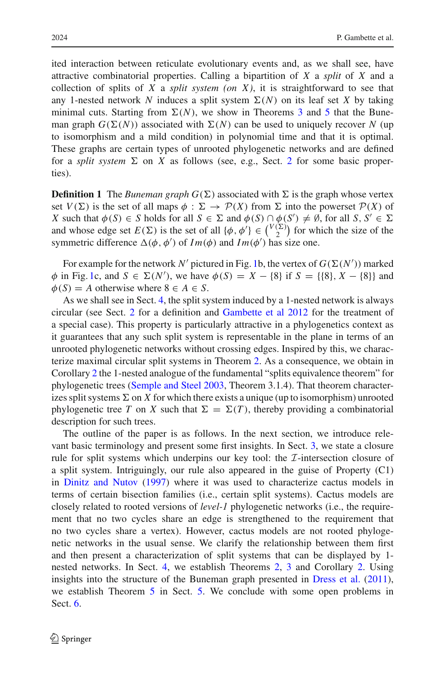ited interaction between reticulate evolutionary events and, as we shall see, have attractive combinatorial properties. Calling a bipartition of *X* a *split* of *X* and a collection of splits of *X* a *split system (on X)*, it is straightforward to see that any 1-nested network N induces a split system  $\Sigma(N)$  on its leaf set X by taking minimal cuts. Starting from  $\Sigma(N)$ , we show in Theorems [3](#page-16-0) and [5](#page-23-0) that the Buneman graph  $G(\Sigma(N))$  associated with  $\Sigma(N)$  can be used to uniquely recover N (up to isomorphism and a mild condition) in polynomial time and that it is optimal. These graphs are certain types of unrooted phylogenetic networks and are defined for a *split system*  $\Sigma$  on *X* as follows (see, e.g., Sect. [2](#page-3-0) for some basic properties).

**Definition 1** The *Buneman graph*  $G(\Sigma)$  associated with  $\Sigma$  is the graph whose vertex set  $V(\Sigma)$  is the set of all maps  $\phi : \Sigma \to \mathcal{P}(X)$  from  $\Sigma$  into the powerset  $\mathcal{P}(X)$  of *X* such that  $\phi(S) \in S$  holds for all  $S \in \Sigma$  and  $\phi(S) \cap \phi(S') \neq \emptyset$ , for all  $S, S' \in \Sigma$ and whose edge set  $E(\Sigma)$  is the set of all  $\{\phi, \phi'\} \in {V(\Sigma) \choose 2}$  $\binom{2}{2}$  for which the size of the symmetric difference  $\Delta(\phi, \phi')$  of  $Im(\phi)$  and  $Im(\phi')$  has size one.

For example for the network  $N'$  pictured in Fig. [1b](#page-1-0), the vertex of  $G(\Sigma(N'))$  marked  $\phi$  in Fig. [1c](#page-1-0), and  $S \in \Sigma(N')$ , we have  $\phi(S) = X - \{8\}$  if  $S = \{\{8\}, X - \{8\}\}\$ and  $\phi(S) = A$  otherwise where  $8 \in A \in S$ .

As we shall see in Sect. [4,](#page-11-0) the split system induced by a 1-nested network is always circular (see Sect. [2](#page-3-0) for a definition and [Gambette et al 2012](#page-25-6) for the treatment of a special case). This property is particularly attractive in a phylogenetics context as it guarantees that any such split system is representable in the plane in terms of an unrooted phylogenetic networks without crossing edges. Inspired by this, we characterize maximal circular split systems in Theorem [2.](#page-14-0) As a consequence, we obtain in Corollary [2](#page-17-0) the 1-nested analogue of the fundamental "splits equivalence theorem" for phylogenetic trees [\(Semple and Steel 2003,](#page-26-3) Theorem 3.1.4). That theorem characterizes split systems  $\Sigma$  on  $X$  for which there exists a unique (up to isomorphism) unrooted phylogenetic tree *T* on *X* such that  $\Sigma = \Sigma(T)$ , thereby providing a combinatorial description for such trees.

The outline of the paper is as follows. In the next section, we introduce relevant basic terminology and present some first insights. In Sect. [3,](#page-5-0) we state a closure rule for split systems which underpins our key tool: the *I*-intersection closure of a split system. Intriguingly, our rule also appeared in the guise of Property (C1) in [Dinitz and Nutov](#page-25-7) [\(1997\)](#page-25-7) where it was used to characterize cactus models in terms of certain bisection families (i.e., certain split systems). Cactus models are closely related to rooted versions of *level-1* phylogenetic networks (i.e., the requirement that no two cycles share an edge is strengthened to the requirement that no two cycles share a vertex). However, cactus models are not rooted phylogenetic networks in the usual sense. We clarify the relationship between them first and then present a characterization of split systems that can be displayed by 1 nested networks. In Sect. [4,](#page-11-0) we establish Theorems [2,](#page-14-0) [3](#page-16-0) and Corollary [2.](#page-17-0) Using insights into the structure of the Buneman graph presented in [Dress et al.](#page-25-8) [\(2011](#page-25-8)), we establish Theorem [5](#page-23-0) in Sect. [5.](#page-17-1) We conclude with some open problems in Sect. [6.](#page-24-0)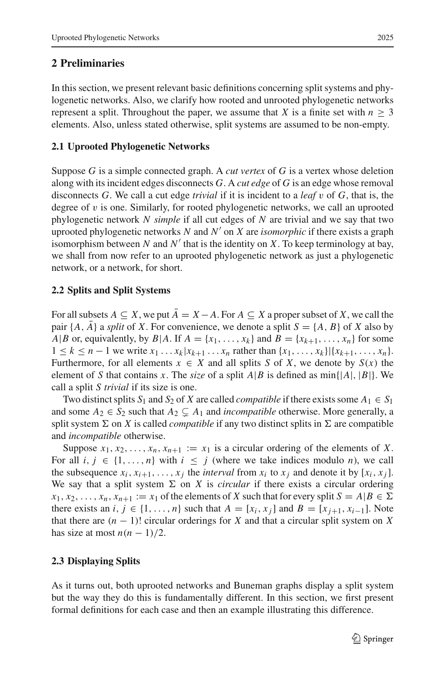## <span id="page-3-0"></span>**2 Preliminaries**

In this section, we present relevant basic definitions concerning split systems and phylogenetic networks. Also, we clarify how rooted and unrooted phylogenetic networks represent a split. Throughout the paper, we assume that *X* is a finite set with  $n \geq 3$ elements. Also, unless stated otherwise, split systems are assumed to be non-empty.

### **2.1 Uprooted Phylogenetic Networks**

Suppose *G* is a simple connected graph. A *cut vertex* of *G* is a vertex whose deletion along with its incident edges disconnects *G*. A *cut edge* of *G* is an edge whose removal disconnects *G*. We call a cut edge *trivial* if it is incident to a *leaf* v of *G*, that is, the degree of  $v$  is one. Similarly, for rooted phylogenetic networks, we call an uprooted phylogenetic network *N simple* if all cut edges of *N* are trivial and we say that two uprooted phylogenetic networks *N* and *N*- on *X* are *isomorphic* if there exists a graph isomorphism between  $N$  and  $N'$  that is the identity on  $X$ . To keep terminology at bay, we shall from now refer to an uprooted phylogenetic network as just a phylogenetic network, or a network, for short.

### **2.2 Splits and Split Systems**

For all subsets  $A \subseteq X$ , we put  $\overline{A} = X - A$ . For  $A \subseteq X$  a proper subset of X, we call the pair  $\{A, A\}$  a *split* of *X*. For convenience, we denote a split  $S = \{A, B\}$  of *X* also by *A*|*B* or, equivalently, by *B*|*A*. If  $A = \{x_1, \ldots, x_k\}$  and  $B = \{x_{k+1}, \ldots, x_n\}$  for some 1 ≤ *k* ≤ *n* − 1 we write  $x_1$ ...  $x_k | x_{k+1}$ ...  $x_n$  rather than  $\{x_1, ..., x_k\} | \{x_{k+1}, ..., x_n\}.$ Furthermore, for all elements  $x \in X$  and all splits *S* of *X*, we denote by  $S(x)$  the element of *S* that contains *x*. The *size* of a split  $A|B$  is defined as min{ $|A|, |B|$ }. We call a split *S trivial* if its size is one.

Two distinct splits  $S_1$  and  $S_2$  of *X* are called *compatible* if there exists some  $A_1 \in S_1$ and some  $A_2 \in S_2$  such that  $A_2 \subsetneq A_1$  and *incompatible* otherwise. More generally, a split system  $\Sigma$  on *X* is called *compatible* if any two distinct splits in  $\Sigma$  are compatible and *incompatible* otherwise.

Suppose  $x_1, x_2, \ldots, x_n, x_{n+1} := x_1$  is a circular ordering of the elements of *X*. For all  $i, j \in \{1, \ldots, n\}$  with  $i \leq j$  (where we take indices modulo *n*), we call the subsequence  $x_i, x_{i+1}, \ldots, x_j$  the *interval* from  $x_i$  to  $x_j$  and denote it by  $[x_i, x_j]$ . We say that a split system  $\Sigma$  on *X* is *circular* if there exists a circular ordering  $x_1, x_2, \ldots, x_n, x_{n+1} := x_1$  of the elements of *X* such that for every split  $S = A | B \in \Sigma$ there exists an *i*,  $j \in \{1, \ldots, n\}$  such that  $A = [x_i, x_j]$  and  $B = [x_{j+1}, x_{j-1}]$ . Note that there are  $(n - 1)!$  circular orderings for *X* and that a circular split system on *X* has size at most  $n(n-1)/2$ .

## **2.3 Displaying Splits**

As it turns out, both uprooted networks and Buneman graphs display a split system but the way they do this is fundamentally different. In this section, we first present formal definitions for each case and then an example illustrating this difference.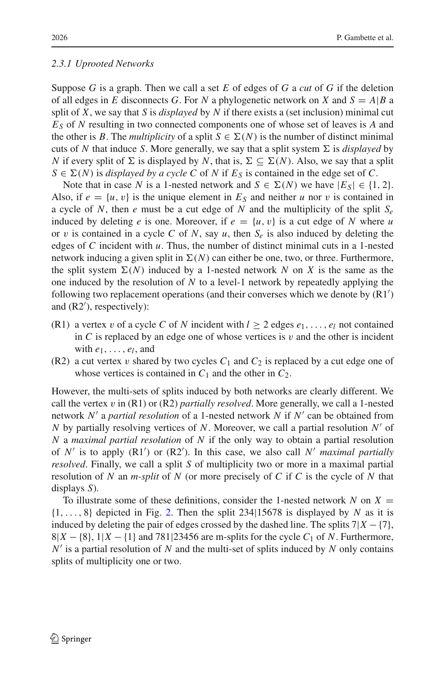### *2.3.1 Uprooted Networks*

Suppose *G* is a graph. Then we call a set *E* of edges of *G* a *cut* of *G* if the deletion of all edges in *E* disconnects *G*. For *N* a phylogenetic network on *X* and  $S = A|B$  a split of *X*, we say that *S* is *displayed* by *N* if there exists a (set inclusion) minimal cut *ES* of *N* resulting in two connected components one of whose set of leaves is *A* and the other is *B*. The *multiplicity* of a split  $S \in \Sigma(N)$  is the number of distinct minimal cuts of N that induce S. More generally, we say that a split system  $\Sigma$  is *displayed* by *N* if every split of  $\Sigma$  is displayed by *N*, that is,  $\Sigma \subseteq \Sigma(N)$ . Also, we say that a split  $S \in \Sigma(N)$  is *displayed by a cycle C* of *N* if *E<sub>S</sub>* is contained in the edge set of *C*.

Note that in case *N* is a 1-nested network and  $S \in \Sigma(N)$  we have  $|E_S| \in \{1, 2\}$ . Also, if  $e = \{u, v\}$  is the unique element in  $E<sub>S</sub>$  and neither *u* nor *v* is contained in a cycle of *N*, then *e* must be a cut edge of *N* and the multiplicity of the split *Se* induced by deleting *e* is one. Moreover, if  $e = \{u, v\}$  is a cut edge of *N* where *u* or v is contained in a cycle C of N, say  $u$ , then  $S_e$  is also induced by deleting the edges of *C* incident with *u*. Thus, the number of distinct minimal cuts in a 1-nested network inducing a given split in  $\Sigma(N)$  can either be one, two, or three. Furthermore, the split system  $\Sigma(N)$  induced by a 1-nested network N on X is the same as the one induced by the resolution of *N* to a level-1 network by repeatedly applying the following two replacement operations (and their converses which we denote by  $(R1')$ and  $(R2')$ , respectively):

- (R1) a vertex v of a cycle C of N incident with  $l \ge 2$  edges  $e_1, \ldots, e_l$  not contained in C is replaced by an edge one of whose vertices is  $v$  and the other is incident with *e*1,..., *el*, and
- (R2) a cut vertex v shared by two cycles  $C_1$  and  $C_2$  is replaced by a cut edge one of whose vertices is contained in  $C_1$  and the other in  $C_2$ .

However, the multi-sets of splits induced by both networks are clearly different. We call the vertex v in  $(R1)$  or  $(R2)$  *partially resolved*. More generally, we call a 1-nested network *N'* a *partial resolution* of a 1-nested network *N* if *N'* can be obtained from *N* by partially resolving vertices of *N*. Moreover, we call a partial resolution *N'* of *N* a *maximal partial resolution* of *N* if the only way to obtain a partial resolution of N' is to apply (R1') or (R2'). In this case, we also call N' *maximal partially resolved*. Finally, we call a split *S* of multiplicity two or more in a maximal partial resolution of *N* an *m-split* of *N* (or more precisely of *C* if *C* is the cycle of *N* that displays *S*).

To illustrate some of these definitions, consider the 1-nested network  $N$  on  $X =$  $\{1, \ldots, 8\}$  depicted in Fig. [2.](#page-5-1) Then the split 234|15678 is displayed by *N* as it is induced by deleting the pair of edges crossed by the dashed line. The splits  $7|X - \{7\}$ ,  $8|X - \{8\}, 1|X - \{1\}$  and 781|23456 are m-splits for the cycle  $C_1$  of *N*. Furthermore, *N*- is a partial resolution of *N* and the multi-set of splits induced by *N* only contains splits of multiplicity one or two.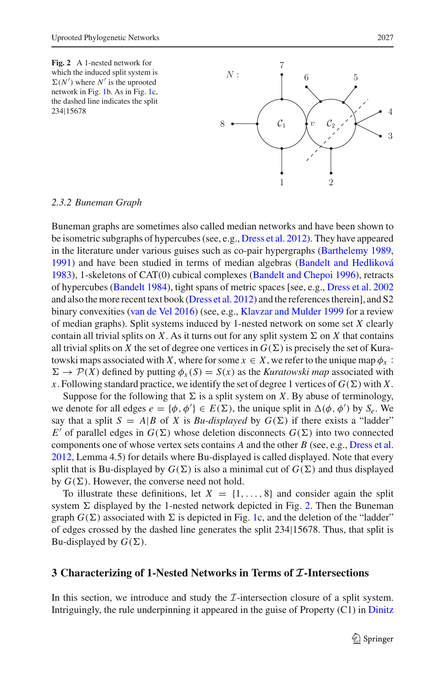

<span id="page-5-1"></span>*2.3.2 Buneman Graph*

Buneman graphs are sometimes also called median networks and have been shown to be isometric subgraphs of hypercubes (see, e.g., [Dress et al. 2012\)](#page-25-9). They have appeared in the literature under various guises such as co-pair hypergraphs [\(Barthelemy 1989,](#page-25-10) [1991\)](#page-25-11) and have been studied in terms of median algebras [\(Bandelt and Hedliková](#page-25-12) [1983\)](#page-25-12), 1-skeletons of CAT(0) cubical complexes [\(Bandelt and Chepoi 1996\)](#page-25-13), retracts of hypercubes [\(Bandelt 1984\)](#page-25-14), tight spans of metric spaces [see, e.g., [Dress et al. 2002](#page-25-15) and also the more recent text book [\(Dress et al. 2012](#page-25-9)) and the references therein], and S2 binary convexities [\(van de Vel 2016\)](#page-26-4) (see, e.g., [Klavzar and Mulder 1999](#page-25-16) for a review of median graphs). Split systems induced by 1-nested network on some set *X* clearly contain all trivial splits on *X*. As it turns out for any split system  $\Sigma$  on *X* that contains all trivial splits on X the set of degree one vertices in  $G(\Sigma)$  is precisely the set of Kuratowski maps associated with *X*, where for some  $x \in X$ , we refer to the unique map  $\phi_x$ :  $\Sigma \to \mathcal{P}(X)$  defined by putting  $\phi_x(S) = S(x)$  as the *Kuratowski map* associated with x. Following standard practice, we identify the set of degree 1 vertices of  $G(\Sigma)$  with X.

Suppose for the following that  $\Sigma$  is a split system on *X*. By abuse of terminology, we denote for all edges  $e = \{\phi, \phi'\} \in E(\Sigma)$ , the unique split in  $\Delta(\phi, \phi')$  by  $S_e$ . We say that a split  $S = A|B$  of *X* is *Bu-displayed* by  $G(\Sigma)$  if there exists a "ladder"  $E'$  of parallel edges in  $G(\Sigma)$  whose deletion disconnects  $G(\Sigma)$  into two connected components one of whose vertex sets contains *A* and the other *B* (see, e.g., [Dress et al.](#page-25-9) [2012,](#page-25-9) Lemma 4.5) for details where Bu-displayed is called displayed. Note that every split that is Bu-displayed by  $G(\Sigma)$  is also a minimal cut of  $G(\Sigma)$  and thus displayed by  $G(\Sigma)$ . However, the converse need not hold.

To illustrate these definitions, let  $X = \{1, ..., 8\}$  and consider again the split system  $\Sigma$  displayed by the 1-nested network depicted in Fig. [2.](#page-5-1) Then the Buneman graph  $G(\Sigma)$  associated with  $\Sigma$  is depicted in Fig. [1c](#page-1-0), and the deletion of the "ladder" of edges crossed by the dashed line generates the split 234|15678. Thus, that split is Bu-displayed by  $G(\Sigma)$ .

#### <span id="page-5-0"></span>**3 Characterizing of 1-Nested Networks in Terms of** *I***-Intersections**

In this section, we introduce and study the *I*-intersection closure of a split system. Intriguingly, the rule underpinning it appeared in the guise of Property (C1) in Dinitz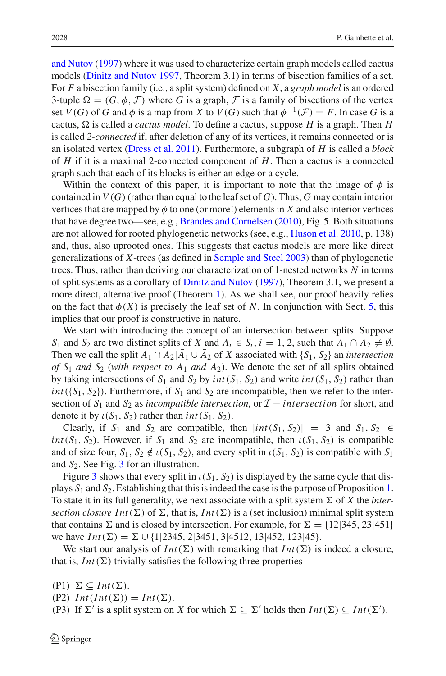and Nutov [\(1997\)](#page-25-7) where it was used to characterize certain graph models called cactus models [\(Dinitz and Nutov 1997,](#page-25-7) Theorem 3.1) in terms of bisection families of a set. For *F* a bisection family (i.e., a split system) defined on *X*, a *graph model* is an ordered 3-tuple  $\Omega = (G, \phi, \mathcal{F})$  where G is a graph, F is a family of bisections of the vertex set *V*(*G*) of *G* and  $\phi$  is a map from *X* to *V*(*G*) such that  $\phi^{-1}(\mathcal{F}) = F$ . In case *G* is a cactus,  $\Omega$  is called a *cactus model*. To define a cactus, suppose *H* is a graph. Then *H* is called *2-connected* if, after deletion of any of its vertices, it remains connected or is an isolated vertex [\(Dress et al. 2011](#page-25-8)). Furthermore, a subgraph of *H* is called a *block* of *H* if it is a maximal 2-connected component of *H*. Then a cactus is a connected graph such that each of its blocks is either an edge or a cycle.

Within the context of this paper, it is important to note that the image of  $\phi$  is contained in  $V(G)$  (rather than equal to the leaf set of *G*). Thus, *G* may contain interior vertices that are mapped by  $\phi$  to one (or more!) elements in *X* and also interior vertices that have degree two—see, e.g., [Brandes and Cornelsen](#page-25-17) [\(2010](#page-25-17)), Fig. 5. Both situations are not allowed for rooted phylogenetic networks (see, e.g., [Huson et al. 2010,](#page-25-1) p. 138) and, thus, also uprooted ones. This suggests that cactus models are more like direct generalizations of *X*-trees (as defined in [Semple and Steel 2003](#page-26-3)) than of phylogenetic trees. Thus, rather than deriving our characterization of 1-nested networks *N* in terms of split systems as a corollary of [Dinitz and Nutov](#page-25-7) [\(1997](#page-25-7)), Theorem 3.1, we present a more direct, alternative proof (Theorem [1\)](#page-8-0). As we shall see, our proof heavily relies on the fact that  $\phi(X)$  is precisely the leaf set of *N*. In conjunction with Sect. [5,](#page-17-1) this implies that our proof is constructive in nature.

We start with introducing the concept of an intersection between splits. Suppose *S*<sub>1</sub> and *S*<sub>2</sub> are two distinct splits of *X* and  $A_i \in S_i$ ,  $i = 1, 2$ , such that  $A_1 \cap A_2 \neq \emptyset$ . Then we call the split  $A_1 \cap A_2 | \overline{A_1} \cup \overline{A_2}$  of *X* associated with {*S*<sub>1</sub>, *S*<sub>2</sub>} an *intersection of S*<sup>1</sup> *and S*<sup>2</sup> (*with respect to A*<sup>1</sup> *and A*2). We denote the set of all splits obtained by taking intersections of  $S_1$  and  $S_2$  by  $int(S_1, S_2)$  and write  $int(S_1, S_2)$  rather than *int*( ${S_1, S_2}$ ). Furthermore, if  $S_1$  and  $S_2$  are incompatible, then we refer to the intersection of *S*<sup>1</sup> and *S*<sup>2</sup> as *incompatible intersection*, or *I* − *inter section* for short, and denote it by  $\iota(S_1, S_2)$  rather than *int*( $S_1, S_2$ ).

Clearly, if  $S_1$  and  $S_2$  are compatible, then  $|int(S_1, S_2)| = 3$  and  $S_1, S_2 \in$ *int*( $S_1$ ,  $S_2$ ). However, if  $S_1$  and  $S_2$  are incompatible, then  $\iota(S_1, S_2)$  is compatible and of size four,  $S_1$ ,  $S_2 \notin \iota(S_1, S_2)$ , and every split in  $\iota(S_1, S_2)$  is compatible with  $S_1$ and *S*2. See Fig. [3](#page-7-0) for an illustration.

Figure [3](#page-7-0) shows that every split in  $\iota(S_1, S_2)$  is displayed by the same cycle that displays *S*<sup>1</sup> and *S*2. Establishing that this is indeed the case is the purpose of Proposition [1.](#page-7-1) To state it in its full generality, we next associate with a split system  $\Sigma$  of X the *intersection closure Int*( $\Sigma$ ) of  $\Sigma$ , that is, *Int*( $\Sigma$ ) is a (set inclusion) minimal split system that contains  $\Sigma$  and is closed by intersection. For example, for  $\Sigma = \{12|345, 23|451\}$ we have  $Int(\Sigma) = \Sigma \cup \{1|2345, 2|3451, 3|4512, 13|452, 123|45\}.$ 

We start our analysis of  $Int(\Sigma)$  with remarking that  $Int(\Sigma)$  is indeed a closure, that is,  $Int(\Sigma)$  trivially satisfies the following three properties

 $(P1) \Sigma \subseteq Int(\Sigma).$ 

(P2)  $Int(int(\Sigma)) = Int(\Sigma).$ 

(P3) If  $\Sigma'$  is a split system on *X* for which  $\Sigma \subseteq \Sigma'$  holds then  $Int(\Sigma) \subseteq Int(\Sigma')$ .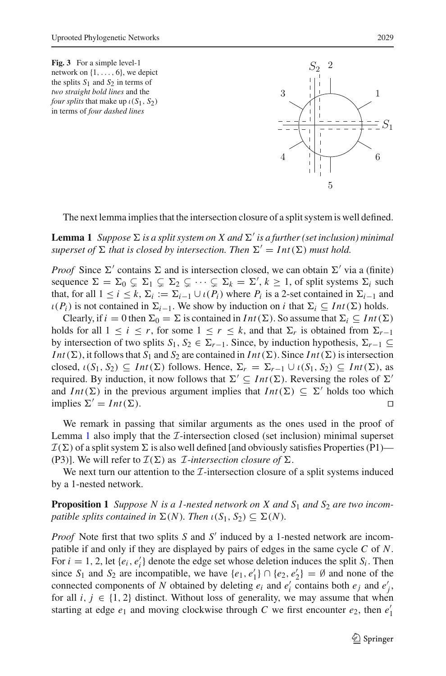<span id="page-7-0"></span>



<span id="page-7-2"></span>The next lemma implies that the intersection closure of a split system is well defined.

 ${\bf Lemma\ 1}\;$  Suppose  $\Sigma$  is a split system on  $X$  and  $\Sigma'$  is a further (set inclusion) minimal  $superset of \Sigma$  that is closed by intersection. Then  $\Sigma' = Int(\Sigma)$  must hold.

*Proof* Since  $\Sigma'$  contains  $\Sigma$  and is intersection closed, we can obtain  $\Sigma'$  via a (finite) sequence  $\Sigma = \Sigma_0 \subsetneq \Sigma_1 \subsetneq \Sigma_2 \subsetneq \cdots \subsetneq \Sigma_k = \Sigma', k \geq 1$ , of split systems  $\Sigma_i$  such that, for all  $1 \le i \le k$ ,  $\Sigma_i := \Sigma_{i-1} \cup \iota(P_i)$  where  $P_i$  is a 2-set contained in  $\Sigma_{i-1}$  and  $\iota(P_i)$  is not contained in  $\Sigma_{i-1}$ . We show by induction on *i* that  $\Sigma_i \subseteq Int(\Sigma)$  holds.

Clearly, if  $i = 0$  then  $\Sigma_0 = \Sigma$  is contained in *Int*( $\Sigma$ ). So assume that  $\Sigma_i \subseteq Int(\Sigma)$ holds for all  $1 \leq i \leq r$ , for some  $1 \leq r \leq k$ , and that  $\Sigma_r$  is obtained from  $\Sigma_{r-1}$ by intersection of two splits  $S_1, S_2 \in \Sigma_{r-1}$ . Since, by induction hypothesis,  $\Sigma_{r-1} \subseteq$ *Int*( $\Sigma$ ), it follows that  $S_1$  and  $S_2$  are contained in *Int*( $\Sigma$ ). Since *Int*( $\Sigma$ ) is intersection closed,  $\iota(S_1, S_2) \subseteq Int(\Sigma)$  follows. Hence,  $\Sigma_r = \Sigma_{r-1} \cup \iota(S_1, S_2) \subseteq Int(\Sigma)$ , as required. By induction, it now follows that  $\Sigma' \subseteq Int(\Sigma)$ . Reversing the roles of  $\Sigma'$ and *Int*( $\Sigma$ ) in the previous argument implies that *Int*( $\Sigma$ )  $\subseteq \Sigma'$  holds too which implies  $\Sigma' = Int(\Sigma)$ ).  $\Box$ 

We remark in passing that similar arguments as the ones used in the proof of Lemma [1](#page-7-2) also imply that the *I*-intersection closed (set inclusion) minimal superset  $\mathcal{I}(\Sigma)$  of a split system  $\Sigma$  is also well defined [and obviously satisfies Properties (P1)— (P3)]. We will refer to  $\mathcal{I}(\Sigma)$  as *I*-intersection closure of  $\Sigma$ .

<span id="page-7-1"></span>We next turn our attention to the *I*-intersection closure of a split systems induced by a 1-nested network.

**Proposition 1** *Suppose N is a 1-nested network on X and S<sub>1</sub> <i>and S<sub>2</sub> are two incompatible splits contained in*  $\Sigma(N)$ *. Then*  $\iota(S_1, S_2) \subseteq \Sigma(N)$ *.* 

*Proof* Note first that two splits *S* and *S'* induced by a 1-nested network are incompatible if and only if they are displayed by pairs of edges in the same cycle *C* of *N*. For  $i = 1, 2$ , let  $\{e_i, e'_i\}$  denote the edge set whose deletion induces the split  $S_i$ . Then since  $S_1$  and  $S_2$  are incompatible, we have  $\{e_1, e'_1\} \cap \{e_2, e'_2\} = \emptyset$  and none of the connected components of *N* obtained by deleting  $e_i$  and  $e'_i$  contains both  $e_j$  and  $e'_j$ , for all  $i, j \in \{1, 2\}$  distinct. Without loss of generality, we may assume that when starting at edge  $e_1$  and moving clockwise through *C* we first encounter  $e_2$ , then  $e'_1$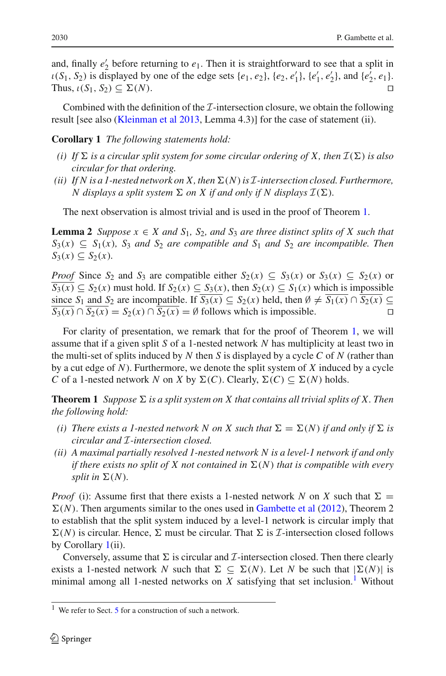and, finally  $e_2'$  before returning to  $e_1$ . Then it is straightforward to see that a split in  $\iota(S_1, S_2)$  is displayed by one of the edge sets  $\{e_1, e_2\}$ ,  $\{e_2, e'_1\}$ ,  $\{e'_1, e'_2\}$ , and  $\{e'_2, e_1\}$ . Thus,  $\iota(S_1, S_2) \subseteq \Sigma(N)$ . (*N*). 

<span id="page-8-1"></span>Combined with the definition of the *I*-intersection closure, we obtain the following result [see also [\(Kleinman et al 2013,](#page-26-5) Lemma 4.3)] for the case of statement (ii).

**Corollary 1** *The following statements hold:*

- (*i*) If  $\Sigma$  is a circular split system for some circular ordering of X, then  $\mathcal{I}(\Sigma)$  is also *circular for that ordering.*
- *(ii) If N is a 1-nested network on X, then*-(*N*)*is I-intersection closed. Furthermore, N* displays a split system  $\Sigma$  on X if and only if N displays  $\mathcal{I}(\Sigma)$ .

<span id="page-8-3"></span>The next observation is almost trivial and is used in the proof of Theorem [1.](#page-8-0)

**Lemma 2** *Suppose*  $x \in X$  *and*  $S_1$ *,*  $S_2$ *, and*  $S_3$  *are three distinct splits of* X *such that*  $S_3(x) \subseteq S_1(x)$ ,  $S_3$  *and*  $S_2$  *are compatible and*  $S_1$  *and*  $S_2$  *are incompatible. Then*  $S_3(x) \subseteq S_2(x)$ .

*Proof* Since  $S_2$  and  $S_3$  are compatible either  $S_2(x) \subseteq S_3(x)$  or  $S_3(x) \subseteq S_2(x)$  or *S*<sub>3</sub>(*x*) ⊆ *S*<sub>2</sub>(*x*) must hold. If *S*<sub>2</sub>(*x*) ⊆ *S*<sub>3</sub>(*x*), then *S*<sub>2</sub>(*x*) ⊆ *S*<sub>1</sub>(*x*) which is impossible since  $S_1$  and  $S_2$  are incompatible. If  $\overline{S_3(x)} \subseteq S_2(x)$  held, then  $\emptyset \neq \overline{S_1(x)} \cap \overline{S_2(x)} \subseteq \overline{S_2(x)} \cap \overline{S_2(x)} = S_2(x) \cap \overline{S_2(x)} = \emptyset$  follows which is impossible  $\overline{S_3(x)} \cap \overline{S_2(x)} = S_2(x) \cap \overline{S_2(x)} = \emptyset$  follows which is impossible.

For clarity of presentation, we remark that for the proof of Theorem [1,](#page-8-0) we will assume that if a given split *S* of a 1-nested network *N* has multiplicity at least two in the multi-set of splits induced by *N* then *S* is displayed by a cycle *C* of *N* (rather than by a cut edge of *N*). Furthermore, we denote the split system of *X* induced by a cycle *C* of a 1-nested network *N* on *X* by  $\Sigma(C)$ . Clearly,  $\Sigma(C) \subseteq \Sigma(N)$  holds.

<span id="page-8-0"></span>**Theorem 1** *Suppose*  $\Sigma$  *is a split system on X that contains all trivial splits of X. Then the following hold:*

- *(i)* There exists a 1-nested network N on X such that  $\Sigma = \Sigma(N)$  if and only if  $\Sigma$  is *circular and I-intersection closed.*
- *(ii) A maximal partially resolved 1-nested network N is a level-1 network if and only* if there exists no split of  $X$  not contained in  $\Sigma(N)$  that is compatible with every  $split$  *in*  $\Sigma(N)$ *.*

*Proof* (i): Assume first that there exists a 1-nested network *N* on *X* such that  $\Sigma =$  $\Sigma(N)$ . Then arguments similar to the ones used in [Gambette et al](#page-25-6) [\(2012](#page-25-6)), Theorem 2 to establish that the split system induced by a level-1 network is circular imply that  $\Sigma(N)$  is circular. Hence,  $\Sigma$  must be circular. That  $\Sigma$  is *I*-intersection closed follows by Corollary [1\(](#page-8-1)ii).

Conversely, assume that  $\Sigma$  is circular and  $\mathcal I$ -intersection closed. Then there clearly exists a 1-nested network *N* such that  $\Sigma \subseteq \Sigma(N)$ . Let *N* be such that  $|\Sigma(N)|$  is minimal among all [1](#page-8-2)-nested networks on  $X$  satisfying that set inclusion.<sup>1</sup> Without

<span id="page-8-2"></span><sup>&</sup>lt;sup>1</sup> We refer to Sect.  $5$  for a construction of such a network.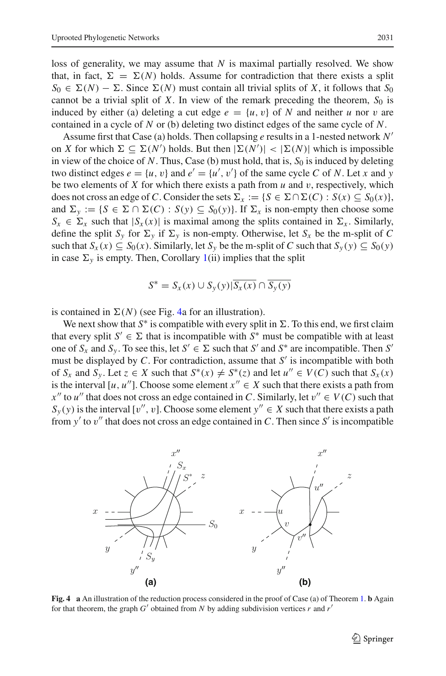loss of generality, we may assume that *N* is maximal partially resolved. We show that, in fact,  $\Sigma = \Sigma(N)$  holds. Assume for contradiction that there exists a split  $S_0 \in \Sigma(N) - \Sigma$ . Since  $\Sigma(N)$  must contain all trivial splits of *X*, it follows that  $S_0$ cannot be a trivial split of  $X$ . In view of the remark preceding the theorem,  $S_0$  is induced by either (a) deleting a cut edge  $e = \{u, v\}$  of N and neither u nor v are contained in a cycle of *N* or (b) deleting two distinct edges of the same cycle of *N*.

Assume first that Case (a) holds. Then collapsing *e* results in a 1-nested network *N* on *X* for which  $\Sigma \subseteq \Sigma(N')$  holds. But then  $|\Sigma(N')| < |\Sigma(N)|$  which is impossible in view of the choice of  $N$ . Thus, Case (b) must hold, that is,  $S_0$  is induced by deleting two distinct edges  $e = \{u, v\}$  and  $e' = \{u', v'\}$  of the same cycle *C* of *N*. Let *x* and *y* be two elements of  $X$  for which there exists a path from  $u$  and  $v$ , respectively, which does not cross an edge of *C*. Consider the sets  $\Sigma_x := \{ S \in \Sigma \cap \Sigma(C) : S(x) \subseteq S_0(x) \}$ , and  $\Sigma_y := \{ S \in \Sigma \cap \Sigma(C) : S(y) \subseteq S_0(y) \}$ . If  $\Sigma_x$  is non-empty then choose some  $S_x \in \Sigma_x$  such that  $|S_x(x)|$  is maximal among the splits contained in  $\Sigma_x$ . Similarly, define the split  $S_y$  for  $\Sigma_y$  if  $\Sigma_y$  is non-empty. Otherwise, let  $S_x$  be the m-split of *C* such that  $S_y(x) \subseteq S_0(x)$ . Similarly, let  $S_y$  be the m-split of *C* such that  $S_y(y) \subseteq S_0(y)$ in case  $\Sigma_y$  is empty. Then, Corollary [1\(](#page-8-1)ii) implies that the split

$$
S^* = S_x(x) \cup S_y(y) | \overline{S_x(x)} \cap \overline{S_y(y)}
$$

is contained in  $\Sigma(N)$  (see Fig. [4a](#page-9-0) for an illustration).

We next show that  $S^*$  is compatible with every split in  $\Sigma$ . To this end, we first claim that every split  $S' \in \Sigma$  that is incompatible with  $S^*$  must be compatible with at least one of  $S_x$  and  $S_y$ . To see this, let  $S' \in \Sigma$  such that  $S'$  and  $S^*$  are incompatible. Then  $S'$ must be displayed by C. For contradiction, assume that S' is incompatible with both of  $S_x$  and  $S_y$ . Let  $z \in X$  such that  $S^*(x) \neq S^*(z)$  and let  $u'' \in V(C)$  such that  $S_x(x)$ is the interval  $[u, u'']$ . Choose some element  $x'' \in X$  such that there exists a path from  $x''$  to *u*<sup> $\prime\prime$ </sup> that does not cross an edge contained in *C*. Similarly, let  $v'' \in V(C)$  such that  $S_y(y)$  is the interval [v'', v]. Choose some element  $y'' \in X$  such that there exists a path from y' to v'' that does not cross an edge contained in C. Then since S' is incompatible



<span id="page-9-0"></span>**Fig. 4 a** An illustration of the reduction process considered in the proof of Case (a) of Theorem [1.](#page-8-0) **b** Again for that theorem, the graph  $G'$  obtained from  $N$  by adding subdivision vertices  $r$  and  $r'$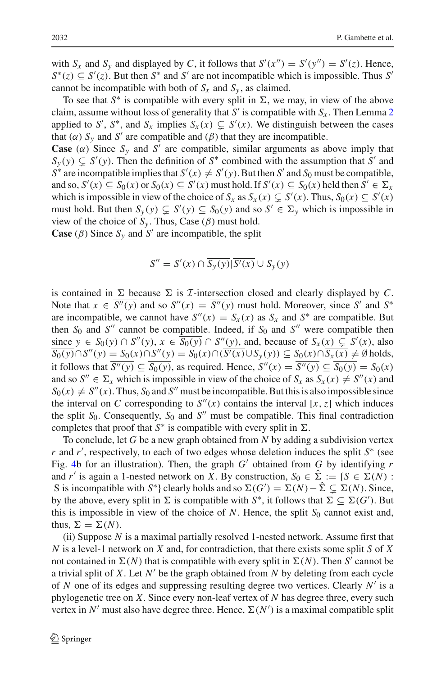with  $S_x$  and  $S_y$  and displayed by *C*, it follows that  $S'(x'') = S'(y'') = S'(z)$ . Hence,  $S^*(z) \subseteq S'(z)$ . But then  $S^*$  and  $S'$  are not incompatible which is impossible. Thus *S*<sup>-</sup> cannot be incompatible with both of  $S_x$  and  $S_y$ , as claimed.

To see that  $S^*$  is compatible with every split in  $\Sigma$ , we may, in view of the above claim, assume without loss of generality that  $S'$  is compatible with  $S_x$ . Then Lemma [2](#page-8-3) applied to *S'*, *S*<sup>\*</sup>, and *S<sub>x</sub>* implies  $S_x(x) \subsetneq S'(x)$ . We distinguish between the cases that  $(\alpha)$   $S_y$  and  $S'$  are compatible and  $(\beta)$  that they are incompatible.

**Case** ( $\alpha$ ) Since  $S_y$  and  $S'$  are compatible, similar arguments as above imply that  $S_y(y) \subsetneq S'(y)$ . Then the definition of  $S^*$  combined with the assumption that *S*<sup> $\prime$ </sup> and  $S^*$  are incompatible implies that  $S'(x) \neq S'(y)$ . But then *S'* and *S*<sub>0</sub> must be compatible, and so,  $S'(x) \subseteq S_0(x)$  or  $S_0(x) \subseteq S'(x)$  must hold. If  $S'(x) \subseteq S_0(x)$  held then  $S' \in \Sigma_x$ which is impossible in view of the choice of  $S_x$  as  $S_x(x) \subsetneq S'(x)$ . Thus,  $S_0(x) \subseteq S'(x)$ must hold. But then  $S_y(y) \subseteq S'(y) \subseteq S_0(y)$  and so  $S' \in \Sigma_y$  which is impossible in view of the choice of  $S_y$ . Thus, Case ( $\beta$ ) must hold.

**Case** ( $\beta$ ) Since  $S_y$  and  $S'$  are incompatible, the split

$$
S'' = S'(x) \cap \overline{S_y(y)} | \overline{S'(x)} \cup S_y(y)
$$

is contained in  $\Sigma$  because  $\Sigma$  is *I*-intersection closed and clearly displayed by *C*. Note that  $x \in S''(y)$  and so  $S''(x) = S''(y)$  must hold. Moreover, since S' and S<sup>\*</sup> are incompatible, we cannot have  $S''(x) = S_x(x)$  as  $S_x$  and  $S^*$  are compatible. But then  $S_0$  and  $S''$  cannot be compatible. Indeed, if  $S_0$  and  $S''$  were compatible then since *y* ∈ *S*<sub>0</sub>(*y*) ∩ *S*<sup>''</sup>(*y*), *x* ∈ *S*<sub>0</sub>(*y*) ∩ *S*<sup>''</sup>(*y*), and, because of *S<sub>x</sub>*(*x*) ⊆ *S*<sup>'</sup>(*x*), also  $S_0(y) \cap S''(y) = S_0(x) \cap S''(y) = S_0(x) \cap (S'(x) \cup S_y(y)) \subseteq S_0(x) \cap S_x(x) \neq \emptyset$  holds, it follows that  $S''(y) \subseteq S_0(y)$ , as required. Hence,  $S''(x) = S''(y) \subseteq S_0(y) = S_0(x)$ and so  $S'' \in \Sigma_x$  which is impossible in view of the choice of  $S_x$  as  $S_x(x) \neq S''(x)$  and  $S_0(x) \neq S''(x)$ . Thus,  $S_0$  and  $S''$  must be incompatible. But this is also impossible since the interval on *C* corresponding to  $S''(x)$  contains the interval [*x*, *z*] which induces the split  $S_0$ . Consequently,  $S_0$  and  $S''$  must be compatible. This final contradiction completes that proof that  $S^*$  is compatible with every split in  $\Sigma$ .

To conclude, let *G* be a new graph obtained from *N* by adding a subdivision vertex *r* and *r*<sup>'</sup>, respectively, to each of two edges whose deletion induces the split *S*<sup>∗</sup> (see Fig. [4b](#page-9-0) for an illustration). Then, the graph  $G'$  obtained from  $G$  by identifying  $r$ and *r'* is again a 1-nested network on *X*. By construction,  $S_0 \in \Sigma$   $:= \{ S \in \Sigma(N) :$ S is incompatible with  $S^*$ } clearly holds and so  $\Sigma(G') = \Sigma(N) - \Sigma \subsetneq \Sigma(N)$ . Since, by the above, every split in  $\Sigma$  is compatible with  $S^*$ , it follows that  $\Sigma \subseteq \Sigma(G')$ . But this is impossible in view of the choice of  $N$ . Hence, the split  $S_0$  cannot exist and, thus,  $\Sigma = \Sigma(N)$ .

(ii) Suppose *N* is a maximal partially resolved 1-nested network. Assume first that *N* is a level-1 network on *X* and, for contradiction, that there exists some split *S* of *X* not contained in  $\Sigma(N)$  that is compatible with every split in  $\Sigma(N)$ . Then *S*<sup> $\prime$ </sup> cannot be a trivial split of *X*. Let  $N'$  be the graph obtained from  $N$  by deleting from each cycle of *N* one of its edges and suppressing resulting degree two vertices. Clearly *N*- is a phylogenetic tree on *X*. Since every non-leaf vertex of *N* has degree three, every such vertex in N' must also have degree three. Hence,  $\Sigma(N')$  is a maximal compatible split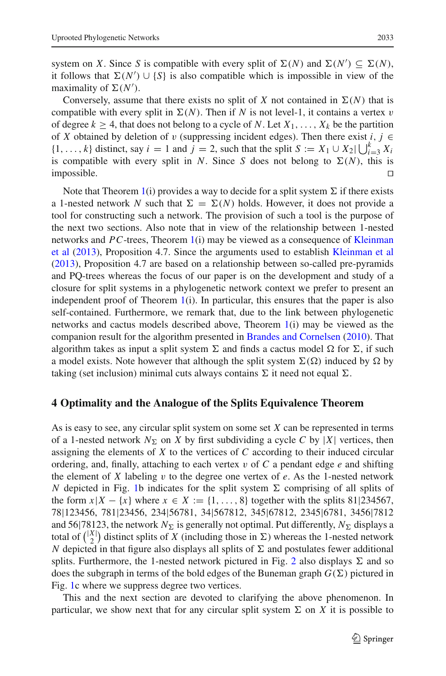system on *X*. Since *S* is compatible with every split of  $\Sigma(N)$  and  $\Sigma(N') \subseteq \Sigma(N)$ , it follows that  $\Sigma(N') \cup \{S\}$  is also compatible which is impossible in view of the maximality of  $\Sigma(N')$ .

Conversely, assume that there exists no split of *X* not contained in  $\Sigma(N)$  that is compatible with every split in  $\Sigma(N)$ . Then if *N* is not level-1, it contains a vertex v of degree  $k \geq 4$ , that does not belong to a cycle of *N*. Let  $X_1, \ldots, X_k$  be the partition of *X* obtained by deletion of v (suppressing incident edges). Then there exist *i*,  $j \in$  $\{1, \ldots, k\}$  distinct, say  $i = 1$  and  $j = 2$ , such that the split  $S := X_1 \cup X_2 \cup \bigcup_{i=3}^k X_i$ is compatible with every split in *N*. Since *S* does not belong to  $\Sigma(N)$ , this is  $\Box$ impossible.  $\Box$ 

Note that Theorem [1\(](#page-8-0)i) provides a way to decide for a split system  $\Sigma$  if there exists a 1-nested network *N* such that  $\Sigma = \Sigma(N)$  holds. However, it does not provide a tool for constructing such a network. The provision of such a tool is the purpose of the next two sections. Also note that in view of the relationship between 1-nested networks and *PC*-trees, Theorem [1\(](#page-8-0)[i\)](#page-26-5) [may](#page-26-5) [be](#page-26-5) [viewed](#page-26-5) [as](#page-26-5) [a](#page-26-5) [consequence](#page-26-5) [of](#page-26-5) Kleinman et al [\(2013\)](#page-26-5), Proposition 4.7. Since the arguments used to establish [Kleinman et al](#page-26-5) [\(2013\)](#page-26-5), Proposition 4.7 are based on a relationship between so-called pre-pyramids and PQ-trees whereas the focus of our paper is on the development and study of a closure for split systems in a phylogenetic network context we prefer to present an independent proof of Theorem  $1(i)$  $1(i)$ . In particular, this ensures that the paper is also self-contained. Furthermore, we remark that, due to the link between phylogenetic networks and cactus models described above, Theorem [1\(](#page-8-0)i) may be viewed as the companion result for the algorithm presented in [Brandes and Cornelsen](#page-25-17) [\(2010](#page-25-17)). That algorithm takes as input a split system  $\Sigma$  and finds a cactus model  $\Omega$  for  $\Sigma$ , if such a model exists. Note however that although the split system  $\Sigma(\Omega)$  induced by  $\Omega$  by taking (set inclusion) minimal cuts always contains  $\Sigma$  it need not equal  $\Sigma.$ 

#### <span id="page-11-0"></span>**4 Optimality and the Analogue of the Splits Equivalence Theorem**

As is easy to see, any circular split system on some set *X* can be represented in terms of a 1-nested network  $N_{\Sigma}$  on *X* by first subdividing a cycle *C* by |*X*| vertices, then assigning the elements of *X* to the vertices of *C* according to their induced circular ordering, and, finally, attaching to each vertex v of *C* a pendant edge *e* and shifting the element of *X* labeling v to the degree one vertex of *e*. As the 1-nested network *N* depicted in Fig. [1b](#page-1-0) indicates for the split system  $\Sigma$  comprising of all splits of the form  $x|X - \{x\}$  where  $x \in X := \{1, ..., 8\}$  together with the splits 81|234567, 78|123456, 781|23456, 234|56781, 34|567812, 345|67812, 2345|6781, 3456|7812 and 56|78123, the network  $N_{\Sigma}$  is generally not optimal. Put differently,  $N_{\Sigma}$  displays a total of  $\binom{|X|}{2}$  distinct splits of *X* (including those in  $\Sigma$ ) whereas the 1-nested network N depicted in that figure also displays all splits of  $\Sigma$  and postulates fewer additional splits. Furthermore, the 1-nested network pictured in Fig. [2](#page-5-1) also displays  $\Sigma$  and so does the subgraph in terms of the bold edges of the Buneman graph  $G(\Sigma)$  pictured in Fig. [1c](#page-1-0) where we suppress degree two vertices.

This and the next section are devoted to clarifying the above phenomenon. In particular, we show next that for any circular split system  $\Sigma$  on *X* it is possible to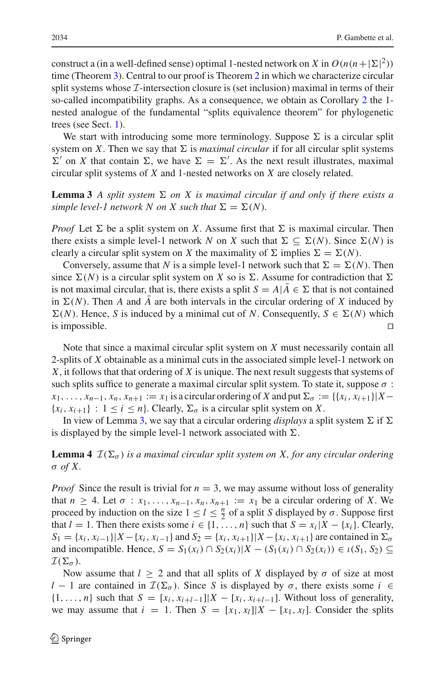construct a (in a well-defined sense) optimal 1-nested network on *X* in  $O(n(n+|\Sigma|^2))$ time (Theorem [3\)](#page-16-0). Central to our proof is Theorem [2](#page-14-0) in which we characterize circular split systems whose *I*-intersection closure is (set inclusion) maximal in terms of their so-called incompatibility graphs. As a consequence, we obtain as Corollary [2](#page-17-0) the 1 nested analogue of the fundamental "splits equivalence theorem" for phylogenetic trees (see Sect. [1\)](#page-1-1).

We start with introducing some more terminology. Suppose  $\Sigma$  is a circular split system on *X*. Then we say that  $\Sigma$  is *maximal circular* if for all circular split systems  $\Sigma'$  on *X* that contain  $\Sigma$ , we have  $\Sigma = \Sigma'$ . As the next result illustrates, maximal circular split systems of *X* and 1-nested networks on *X* are closely related.

<span id="page-12-0"></span>**Lemma 3** *A split system*  $\Sigma$  *on X is maximal circular if and only if there exists a* simple level-1 network N on X such that  $\Sigma = \Sigma(N)$ .

*Proof* Let  $\Sigma$  be a split system on *X*. Assume first that  $\Sigma$  is maximal circular. Then there exists a simple level-1 network *N* on *X* such that  $\Sigma \subseteq \Sigma(N)$ . Since  $\Sigma(N)$  is clearly a circular split system on *X* the maximality of  $\Sigma$  implies  $\Sigma = \Sigma(N)$ .

Conversely, assume that *N* is a simple level-1 network such that  $\Sigma = \Sigma(N)$ . Then since  $\Sigma(N)$  is a circular split system on *X* so is  $\Sigma$ . Assume for contradiction that  $\Sigma$ is not maximal circular, that is, there exists a split  $S = A | A \in \Sigma$  that is not contained in  $\Sigma(N)$ . Then *A* and *A* are both intervals in the circular ordering of *X* induced by  $\Sigma(N)$ . Hence, *S* is induced by a minimal cut of *N*. Consequently,  $S \in \Sigma(N)$  which is impossible.  $\Box$ 

Note that since a maximal circular split system on *X* must necessarily contain all 2-splits of *X* obtainable as a minimal cuts in the associated simple level-1 network on *X*, it follows that that ordering of *X* is unique. The next result suggests that systems of such splits suffice to generate a maximal circular split system. To state it, suppose  $\sigma$ :  $x_1, \ldots, x_{n-1}, x_n, x_{n+1} := x_1$  is a circular ordering of *X* and put  $\Sigma_{\sigma} := \{ \{x_i, x_{i+1}\} | X \{x_i, x_{i+1}\}$ :  $1 \leq i \leq n\}$ . Clearly,  $\Sigma_{\sigma}$  is a circular split system on *X*.

<span id="page-12-1"></span>In view of Lemma [3,](#page-12-0) we say that a circular ordering *displays* a split system  $\Sigma$  if  $\Sigma$ is displayed by the simple level-1 network associated with  $\Sigma$ .

**Lemma 4**  $\mathcal{I}(\Sigma_{\sigma})$  *is a maximal circular split system on X, for any circular ordering* σ *of X.*

*Proof* Since the result is trivial for  $n = 3$ , we may assume without loss of generality that  $n \geq 4$ . Let  $\sigma : x_1, \ldots, x_{n-1}, x_n, x_{n+1} := x_1$  be a circular ordering of *X*. We proceed by induction on the size  $1 \le l \le \frac{n}{2}$  of a split *S* displayed by  $\sigma$ . Suppose first that  $l = 1$ . Then there exists some  $i \in \{1, ..., n\}$  such that  $S = x_i | X - \{x_i\}$ . Clearly,  $S_1 = \{x_i, x_{i-1}\} | X - \{x_i, x_{i-1}\}$  and  $S_2 = \{x_i, x_{i+1}\} | X - \{x_i, x_{i+1}\}$  are contained in  $\Sigma_o$ and incompatible. Hence,  $S = S_1(x_i) \cap S_2(x_i) | X - (S_1(x_i) \cap S_2(x_i)) \in \iota(S_1, S_2) \subseteq$  $\mathcal{I}(\Sigma_{\sigma}).$ 

Now assume that  $l \geq 2$  and that all splits of X displayed by  $\sigma$  of size at most *l* − 1 are contained in  $\mathcal{I}(\Sigma_{\sigma})$ . Since *S* is displayed by  $\sigma$ , there exists some *i* ∈  $\{1,\ldots,n\}$  such that  $S = [x_i, x_{i+l-1}]\vert X - [x_i, x_{i+l-1}]\vert$ . Without loss of generality, we may assume that  $i = 1$ . Then  $S = [x_1, x_1] \mid X - [x_1, x_1]$ . Consider the splits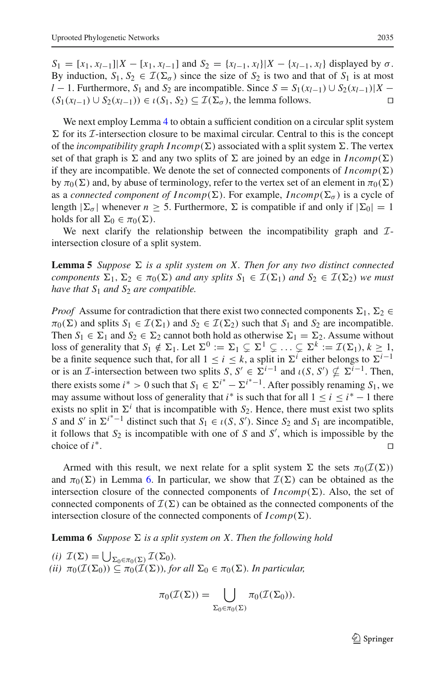$S_1 = [x_1, x_{l-1}][X - [x_1, x_{l-1}]$  and  $S_2 = \{x_{l-1}, x_l\}[X - [x_{l-1}, x_l]$  displayed by  $\sigma$ . By induction,  $S_1$ ,  $S_2 \in \mathcal{I}(\Sigma_\sigma)$  since the size of  $S_2$  is two and that of  $S_1$  is at most *l* − 1. Furthermore, *S*<sub>1</sub> and *S*<sub>2</sub> are incompatible. Since *S* = *S*<sub>1</sub>(*x*<sub>*l*−1</sub>) ∪ *S*<sub>2</sub>(*x*<sub>*l*−1</sub>)|*X* − (*S*<sub>1</sub>(*x*<sub>*l*</sub> + 1) ∈ (*S*<sub>1</sub> (*S*<sub>1</sub>) ∈ (*S*<sub>1</sub> S<sub>2</sub>) ⊂ *T*(*S*<sub>2</sub>) the lemma follows  $(S_1(x_{l-1}) \cup S_2(x_{l-1})) \in \iota(S_1, S_2) \subseteq \mathcal{I}(\Sigma_{\sigma})$ , the lemma follows.

We next employ Lemma [4](#page-12-1) to obtain a sufficient condition on a circular split system  $\Sigma$  for its *I*-intersection closure to be maximal circular. Central to this is the concept of the *incompatibility graph*  $Incomp(\Sigma)$  associated with a split system  $\Sigma$ . The vertex set of that graph is  $\Sigma$  and any two splits of  $\Sigma$  are joined by an edge in *Incomp*( $\Sigma$ ) if they are incompatible. We denote the set of connected components of  $Incomp(\Sigma)$ by  $\pi_0(\Sigma)$  and, by abuse of terminology, refer to the vertex set of an element in  $\pi_0(\Sigma)$ as a *connected component of*  $Incomp(\Sigma)$ *.* For example,  $Incomp(\Sigma_{\sigma})$  is a cycle of length  $|\Sigma_{\sigma}|$  whenever  $n \ge 5$ . Furthermore,  $\Sigma$  is compatible if and only if  $|\Sigma_0| = 1$ holds for all  $\Sigma_0 \in \pi_0(\Sigma)$ .

<span id="page-13-1"></span>We next clarify the relationship between the incompatibility graph and *I*intersection closure of a split system.

**Lemma 5** *Suppose*  $\Sigma$  *is a split system on X. Then for any two distinct connected components*  $\Sigma_1, \Sigma_2 \in \pi_0(\Sigma)$  *and any splits*  $S_1 \in \mathcal{I}(\Sigma_1)$  *and*  $S_2 \in \mathcal{I}(\Sigma_2)$  *we must have that S*<sup>1</sup> *and S*<sup>2</sup> *are compatible.*

*Proof* Assume for contradiction that there exist two connected components  $\Sigma_1$ ,  $\Sigma_2$   $\in$  $\pi_0(\Sigma)$  and splits  $S_1 \in \mathcal{I}(\Sigma_1)$  and  $S_2 \in \mathcal{I}(\Sigma_2)$  such that  $S_1$  and  $S_2$  are incompatible. Then  $S_1 \in \Sigma_1$  and  $S_2 \in \Sigma_2$  cannot both hold as otherwise  $\Sigma_1 = \Sigma_2$ . Assume without loss of generality that  $S_1 \notin \Sigma_1$ . Let  $\Sigma^0 := \Sigma_1 \subsetneq \Sigma^1 \subsetneq \ldots \subsetneq \Sigma^k := \mathcal{I}(\Sigma_1), k \geq 1$ , be a finite sequence such that, for all  $1 \le i \le k$ , a split in  $\Sigma^{i}$  either belongs to  $\Sigma^{i-1}$ or is an *I*-intersection between two splits  $S, S' \in \Sigma^{i-1}$  and  $\iota(S, S') \nsubseteq \Sigma^{i-1}$ . Then, there exists some  $i^* > 0$  such that  $S_1 \in \Sigma^{i^*} - \Sigma^{i^* - 1}$ . After possibly renaming  $S_1$ , we may assume without loss of generality that *i*<sup>\*</sup> is such that for all  $1 \le i \le i^* - 1$  there exists no split in  $\Sigma^{i}$  that is incompatible with  $S_2$ . Hence, there must exist two splits *S* and *S*<sup> $\prime$ </sup> in  $\Sigma^{i^* - 1}$  distinct such that *S*<sub>1</sub> ∈ *ι*(*S*, *S*<sup> $\prime$ </sup>). Since *S*<sub>2</sub> and *S*<sub>1</sub> are incompatible, it follows that  $S_2$  is incompatible with one of  $S$  and  $S'$ , which is impossible by the choice of  $i^*$ .

Armed with this result, we next relate for a split system  $\Sigma$  the sets  $\pi_0(\mathcal{I}(\Sigma))$ and  $\pi_0(\Sigma)$  in Lemma [6.](#page-13-0) In particular, we show that  $\mathcal{I}(\Sigma)$  can be obtained as the intersection closure of the connected components of  $Incomp(\Sigma)$ . Also, the set of connected components of  $\mathcal{I}(\Sigma)$  can be obtained as the connected components of the intersection closure of the connected components of  $Icomp(\Sigma)$ .

<span id="page-13-0"></span>**Lemma 6** Suppose  $\Sigma$  is a split system on X. Then the following hold

(*i*) 
$$
\mathcal{I}(\Sigma) = \bigcup_{\Sigma_0 \in \pi_0(\Sigma)} \mathcal{I}(\Sigma_0).
$$
  
(*ii*)  $\pi_0(\mathcal{I}(\Sigma_0)) \subseteq \pi_0(\mathcal{I}(\Sigma)),$  for all  $\Sigma_0 \in \pi_0(\Sigma)$ . In particular,

$$
\pi_0(\mathcal{I}(\Sigma)) = \bigcup_{\Sigma_0 \in \pi_0(\Sigma)} \pi_0(\mathcal{I}(\Sigma_0)).
$$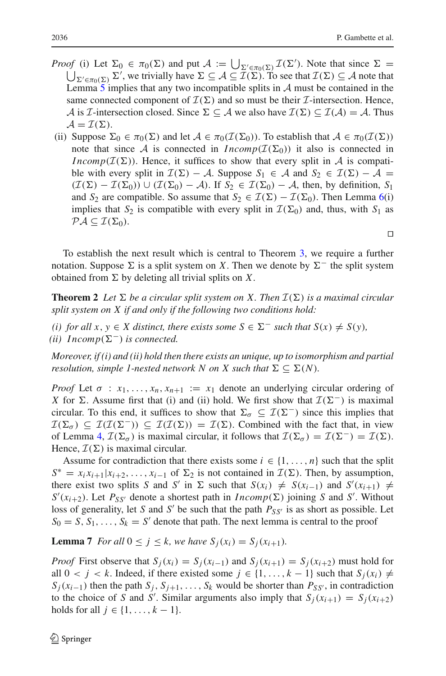$\Box$ 

- *Proof* (i) Let  $\Sigma_0 \in \pi_0(\Sigma)$  and put  $\mathcal{A} := \bigcup_{\Sigma' \in \pi_0(\Sigma)} \mathcal{I}(\Sigma')$ . Note that since  $\Sigma =$  $\bigcup_{\Sigma' \in \pi_0(\Sigma)} \Sigma'$ , we trivially have  $\Sigma \subseteq \mathcal{A} \subseteq \mathcal{I}(\Sigma)$ . To see that  $\mathcal{I}(\Sigma) \subseteq \mathcal{A}$  note that Lemma [5](#page-13-1) implies that any two incompatible splits in *A* must be contained in the same connected component of  $\mathcal{I}(\Sigma)$  and so must be their *I*-intersection. Hence, A is *I*-intersection closed. Since  $\Sigma \subseteq A$  we also have  $\mathcal{I}(\Sigma) \subseteq \mathcal{I}(A) = A$ . Thus  $\mathcal{A} = \mathcal{I}(\Sigma).$
- (ii) Suppose  $\Sigma_0 \in \pi_0(\Sigma)$  and let  $A \in \pi_0(\mathcal{I}(\Sigma_0))$ . To establish that  $A \in \pi_0(\mathcal{I}(\Sigma))$ note that since *A* is connected in  $Incomp(\mathcal{I}(\Sigma_0))$  it also is connected in *Incomp*( $I(\Sigma)$ ). Hence, it suffices to show that every split in *A* is compatible with every split in  $\mathcal{I}(\Sigma) - A$ . Suppose  $S_1 \in A$  and  $S_2 \in \mathcal{I}(\Sigma) - A =$  $(\mathcal{I}(\Sigma) - \mathcal{I}(\Sigma_0)) \cup (\mathcal{I}(\Sigma_0) - \mathcal{A})$ . If  $S_2 \in \mathcal{I}(\Sigma_0) - \mathcal{A}$ , then, by definition,  $S_1$ and  $S_2$  are compatible. So assume that  $S_2 \in \mathcal{I}(\Sigma) - \mathcal{I}(\Sigma_0)$ . Then Lemma [6\(](#page-13-0)i) implies that  $S_2$  is compatible with every split in  $\mathcal{I}(\Sigma_0)$  and, thus, with  $S_1$  as  $\mathcal{P}\mathcal{A}\subseteq\mathcal{I}(\Sigma_0).$

To establish the next result which is central to Theorem [3,](#page-16-0) we require a further notation. Suppose  $\Sigma$  is a split system on *X*. Then we denote by  $\Sigma^-$  the split system obtained from  $\Sigma$  by deleting all trivial splits on X.

<span id="page-14-0"></span>**Theorem 2** *Let*  $\Sigma$  *be a circular split system on X. Then*  $\mathcal{I}(\Sigma)$  *is a maximal circular split system on X if and only if the following two conditions hold:*

*(i)* for all *x*, *y* ∈ *X* distinct, there exists some  $S \in \Sigma^-$  such that  $S(x) \neq S(y)$ , (*ii*)  $Incomp(\Sigma^-)$  *is connected.* 

*Moreover, if (i) and (ii) hold then there exists an unique, up to isomorphism and partial resolution, simple 1-nested network*  $N$  *on*  $X$  *such that*  $\Sigma \subseteq \Sigma(N)$ *.* 

*Proof* Let  $\sigma : x_1, \ldots, x_n, x_{n+1} := x_1$  denote an underlying circular ordering of *X* for  $\Sigma$ . Assume first that (i) and (ii) hold. We first show that  $\mathcal{I}(\Sigma^-)$  is maximal circular. To this end, it suffices to show that  $\Sigma_{\sigma} \subseteq \mathcal{I}(\Sigma^{-})$  since this implies that  $\mathcal{I}(\Sigma_{\sigma}) \subseteq \mathcal{I}(\mathcal{I}(\Sigma^{-})) \subseteq \mathcal{I}(\mathcal{I}(\Sigma)) = \mathcal{I}(\Sigma)$ . Combined with the fact that, in view of Lemma [4,](#page-12-1)  $\mathcal{I}(\Sigma_{\sigma})$  is maximal circular, it follows that  $\mathcal{I}(\Sigma_{\sigma}) = \mathcal{I}(\Sigma^{-}) = \mathcal{I}(\Sigma)$ . Hence,  $\mathcal{I}(\Sigma)$  is maximal circular.

Assume for contradiction that there exists some  $i \in \{1, \ldots, n\}$  such that the split  $S^* = x_i x_{i+1} | x_{i+2}, \dots, x_{i-1}$  of  $\Sigma_2$  is not contained in  $\mathcal{I}(\Sigma)$ . Then, by assumption, there exist two splits *S* and *S'* in  $\Sigma$  such that  $S(x_i) \neq S(x_{i-1})$  and  $S'(x_{i+1}) \neq$  $S'(x_{i+2})$ . Let  $P_{SS'}$  denote a shortest path in *Incomp*( $\Sigma$ ) joining *S* and *S'*. Without loss of generality, let *S* and *S'* be such that the path  $P_{SS'}$  is as short as possible. Let  $S_0 = S, S_1, \ldots, S_k = S'$  denote that path. The next lemma is central to the proof

<span id="page-14-1"></span>**Lemma 7** *For all*  $0 \leq j \leq k$ *, we have*  $S_i(x_i) = S_i(x_{i+1})$ *.* 

*Proof* First observe that  $S_i(x_i) = S_i(x_{i-1})$  and  $S_i(x_{i+1}) = S_i(x_{i+2})$  must hold for all  $0 < j < k$ . Indeed, if there existed some  $j \in \{1, ..., k-1\}$  such that  $S_i(x_i) \neq$  $S_j(x_{i-1})$  then the path  $S_j$ ,  $S_{j+1}$ , ...,  $S_k$  would be shorter than  $P_{SS'}$ , in contradiction to the choice of *S* and *S'*. Similar arguments also imply that  $S_j(x_{i+1}) = S_j(x_{i+2})$ holds for all *j* ∈ {1, ..., *k* − 1}.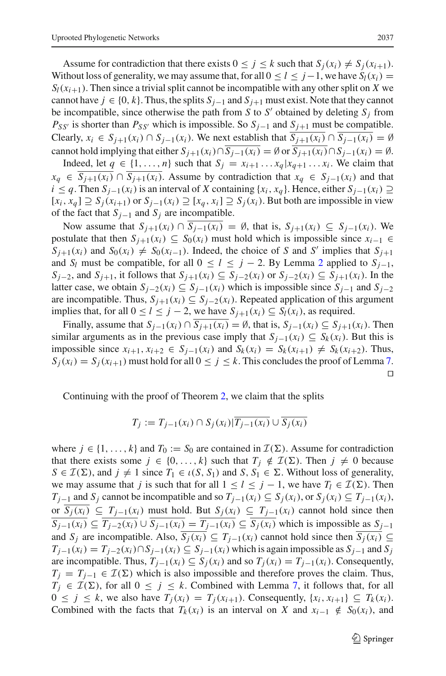Assume for contradiction that there exists  $0 \leq j \leq k$  such that  $S_i(x_i) \neq S_j(x_{i+1})$ . Without loss of generality, we may assume that, for all  $0 \le l \le j-1$ , we have  $S_l(x_i) =$  $S_l(x_{i+1})$ . Then since a trivial split cannot be incompatible with any other split on *X* we cannot have  $j \in \{0, k\}$ . Thus, the splits  $S_{j-1}$  and  $S_{j+1}$  must exist. Note that they cannot be incompatible, since otherwise the path from *S* to *S'* obtained by deleting  $S_j$  from  $P_{SS'}$  is shorter than  $P_{SS'}$  which is impossible. So  $S_{j-1}$  and  $S_{j+1}$  must be compatible. Clearly,  $x_i \in S_{i+1}(x_i) \cap S_{i-1}(x_i)$ . We next establish that  $\overline{S_{i+1}(x_i)} \cap \overline{S_{i-1}(x_i)} = \emptyset$ cannot hold implying that either  $S_{i+1}(x_i) \cap \overline{S_{i-1}(x_i)} = \emptyset$  or  $\overline{S_{i+1}(x_i)} \cap S_{i-1}(x_i) = \emptyset$ .

Indeed, let  $q \in \{1, ..., n\}$  such that  $S_j = x_{i+1} \dots x_q | x_{q+1} \dots x_i$ . We claim that *x<sub>q</sub>* ∈ *S*<sub>*i*+1</sub>(*x<sub>i</sub>*) ∩ *S*<sub>*i*+1</sub>(*x<sub>i</sub>*). Assume by contradiction that  $x_q$  ∈ *S*<sub>*i*-1</sub>(*x<sub>i</sub>*) and that *i* ≤ *q*. Then  $S_{j-1}(x_i)$  is an interval of *X* containing {*x<sub>i</sub>*, *x<sub>q</sub>*}. Hence, either  $S_{j-1}(x_i)$  ⊇ [*xi*, *xq* ] ⊇ *Sj*(*xi*+1) or *Sj*−1(*xi*) ⊇ [*xq* , *xi*] ⊇ *Sj*(*xi*). But both are impossible in view of the fact that  $S_{i-1}$  and  $S_i$  are incompatible.

Now assume that  $S_{i+1}(x_i) ∩ S_{i-1}(x_i) = ∅$ , that is,  $S_{i+1}(x_i) ⊆ S_{i-1}(x_i)$ . We postulate that then  $S_{i+1}(x_i) \subseteq S_0(x_i)$  must hold which is impossible since  $x_{i-1} \in$  $S_{j+1}(x_i)$  and  $S_0(x_i) \neq S_0(x_{i-1})$ . Indeed, the choice of *S* and *S'* implies that  $S_{j+1}$ and *S<sub>l</sub>* must be compatible, for all  $0 \le l \le j - 2$  $0 \le l \le j - 2$ . By Lemma 2 applied to  $S_{j-1}$ , *S*<sub>*j*−2</sub>, and *S*<sub>*j*+1</sub>, it follows that *S*<sub>*j*+1</sub>(*x<sub>i</sub>*) ⊆ *S*<sub>*j*−2(*x<sub>i</sub>*) or *S*<sub>*j*−2(*x<sub>i</sub>*) ⊆ *S*<sub>*j*+1</sub>(*x<sub>i</sub>*). In the</sub></sub> latter case, we obtain *S<sub>j</sub>*−2(*x<sub>i</sub>*) ⊆ *S<sub>j−1</sub>*(*x<sub>i</sub>*) which is impossible since *S<sub>j−1</sub>* and *S<sub>j−2</sub>* are incompatible. Thus,  $S_{i+1}(x_i) \subseteq S_{i-2}(x_i)$ . Repeated application of this argument implies that, for all 0 ≤ *l* ≤ *j* − 2, we have  $S_{i+1}(x_i)$  ⊆  $S_l(x_i)$ , as required.

Finally, assume that  $S_{i-1}(x_i) \cap \overline{S_{i+1}(x_i)} = \emptyset$ , that is,  $S_{i-1}(x_i) \subseteq S_{i+1}(x_i)$ . Then similar arguments as in the previous case imply that  $S_{i-1}(x_i) \subseteq S_k(x_i)$ . But this is impossible since *xi*+1, *xi*+<sup>2</sup> ∈ *Sj*−1(*xi*) and *Sk* (*xi*) = *Sk* (*xi*+1) = *Sk* (*xi*+2). Thus,  $S_i(x_i) = S_j(x_{i+1})$  must hold for all  $0 \le j \le k$ . This concludes the proof of Lemma [7.](#page-14-1)  $\Box$ 

Continuing with the proof of Theorem [2,](#page-14-0) we claim that the splits

$$
T_j := T_{j-1}(x_i) \cap S_j(x_i) | \overline{T_{j-1}(x_i)} \cup \overline{S_j(x_i)}
$$

where  $j \in \{1, ..., k\}$  and  $T_0 := S_0$  are contained in  $\mathcal{I}(\Sigma)$ . Assume for contradiction that there exists some  $j \in \{0, ..., k\}$  such that  $T_j \notin \mathcal{I}(\Sigma)$ . Then  $j \neq 0$  because  $S \in \mathcal{I}(\Sigma)$ , and  $j \neq 1$  since  $T_1 \in \iota(S, S_1)$  and  $S, S_1 \in \Sigma$ . Without loss of generality, we may assume that *j* is such that for all  $1 \le l \le j - 1$ , we have  $T_l \in \mathcal{I}(\Sigma)$ . Then *T*<sub>*j*−1</sub> and *S<sub>j</sub>* cannot be incompatible and so  $T_{j-1}(x_i) \subseteq S_j(x_i)$ , or  $S_j(x_i) \subseteq T_{j-1}(x_i)$ , or  $\overline{S_j(x_i)}$  ⊆  $T_{j-1}(x_i)$  must hold. But  $S_j(x_i)$  ⊆  $T_{j-1}(x_i)$  cannot hold since then *S*<sub>*j*−1</sub>(*x<sub>i</sub>*) ⊆  $\overline{T_{j-2}(x_i)}$  ∪  $\overline{S_{j-1}(x_i)} = \overline{T_{j-1}(x_i)} \subseteq \overline{S_j(x_i)}$  which is impossible as  $S_{j-1}$ and *S<sub>i</sub>* are incompatible. Also,  $\overline{S_i(x_i)} \subseteq T_{i-1}(x_i)$  cannot hold since then  $\overline{S_i(x_i)} \subseteq$  $T_{j-1}(x_i) = T_{j-2}(x_i) \cap S_{j-1}(x_i) \subseteq S_{j-1}(x_i)$  which is again impossible as  $S_{j-1}$  and  $S_j$ are incompatible. Thus,  $T_{i-1}(x_i) \subseteq S_i(x_i)$  and so  $T_i(x_i) = T_{i-1}(x_i)$ . Consequently,  $T_j = T_{j-1} \in \mathcal{I}(\Sigma)$  which is also impossible and therefore proves the claim. Thus,  $T_j \in \mathcal{I}(\Sigma)$ , for all  $0 \leq j \leq k$ . Combined with Lemma [7,](#page-14-1) it follows that, for all  $0 \leq j \leq k$ , we also have  $T_i(x_i) = T_i(x_{i+1})$ . Consequently,  $\{x_i, x_{i+1}\} \subseteq T_k(x_i)$ . Combined with the facts that  $T_k(x_i)$  is an interval on *X* and  $x_{i-1} \notin S_0(x_i)$ , and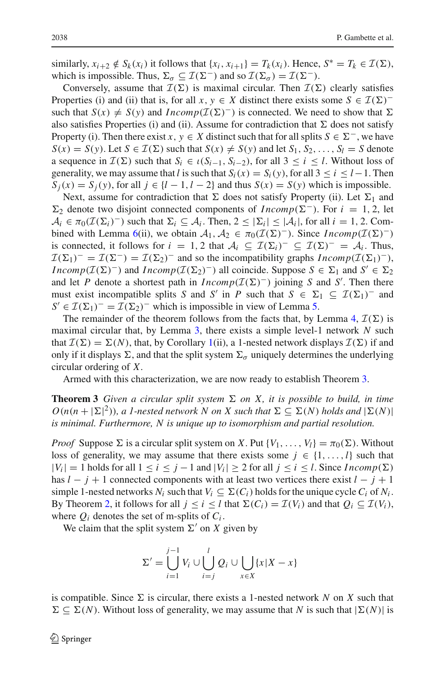similarly,  $x_{i+2} \notin S_k(x_i)$  it follows that  $\{x_i, x_{i+1}\} = T_k(x_i)$ . Hence,  $S^* = T_k \in \mathcal{I}(\Sigma)$ , which is impossible. Thus,  $\Sigma_{\sigma} \subseteq \mathcal{I}(\Sigma^{-})$  and so  $\mathcal{I}(\Sigma_{\sigma}) = \mathcal{I}(\Sigma^{-})$ .

Conversely, assume that  $\mathcal{I}(\Sigma)$  is maximal circular. Then  $\mathcal{I}(\Sigma)$  clearly satisfies Properties (i) and (ii) that is, for all  $x, y \in X$  distinct there exists some  $S \in \mathcal{I}(\Sigma)^{-}$ such that  $S(x) \neq S(y)$  and  $Incomp(\mathcal{I}(\Sigma)^{-})$  is connected. We need to show that  $\Sigma$ also satisfies Properties (i) and (ii). Assume for contradiction that  $\Sigma$  does not satisfy Property (i). Then there exist *x*,  $y \in X$  distinct such that for all splits  $S \in \Sigma^-$ , we have  $S(x) = S(y)$ . Let  $S \in \mathcal{I}(\Sigma)$  such that  $S(x) \neq S(y)$  and let  $S_1, S_2, \ldots, S_l = S$  denote a sequence in  $\mathcal{I}(\Sigma)$  such that  $S_i \in \iota(S_{i-1}, S_{i-2})$ , for all  $3 \leq i \leq l$ . Without loss of generality, we may assume that *l* is such that  $S_i(x) = S_i(y)$ , for all  $3 \le i \le l-1$ . Then  $S_i(x) = S_j(y)$ , for all  $j \in \{l - 1, l - 2\}$  and thus  $S(x) = S(y)$  which is impossible.

Next, assume for contradiction that  $\Sigma$  does not satisfy Property (ii). Let  $\Sigma_1$  and  $\Sigma_2$  denote two disjoint connected components of *Incomp*( $\Sigma^-$ ). For  $i = 1, 2$ , let  $A_i \in \pi_0(\mathcal{I}(\Sigma_i)^-)$  such that  $\Sigma_i \subseteq A_i$ . Then,  $2 \leq |\Sigma_i| \leq |A_i|$ , for all  $i = 1, 2$ . Com-bined with Lemma [6\(](#page-13-0)ii), we obtain  $A_1, A_2 \in \pi_0(\mathcal{I}(\Sigma)^-)$ . Since *Incomp*( $\mathcal{I}(\Sigma)^-$ ) is connected, it follows for *i* = 1, 2 that  $A_i \subseteq \mathcal{I}(\Sigma_i)^{-} \subseteq \mathcal{I}(\Sigma)^{-} = A_i$ . Thus,  $\mathcal{I}(\Sigma_1)^{-} = \mathcal{I}(\Sigma^{-}) = \mathcal{I}(\Sigma_2)^{-}$  and so the incompatibility graphs  $Incomp(\mathcal{I}(\Sigma_1)^{-})$ , *Incomp*( $I(\Sigma)^{-}$ ) and *Incomp*( $I(\Sigma_2)^{-}$ ) all coincide. Suppose  $S \in \Sigma_1$  and  $S' \in \Sigma_2$ and let *P* denote a shortest path in  $Incomp(\mathcal{I}(\Sigma)^-)$  joining *S* and *S'*. Then there must exist incompatible splits *S* and *S'* in *P* such that  $S \in \Sigma_1 \subseteq \mathcal{I}(\Sigma_1)$ <sup>-</sup> and  $S' \in I(\Sigma_1)^{-} = I(\Sigma_2)^{-}$  which is impossible in view of Lemma [5.](#page-13-1)

The remainder of the theorem follows from the facts that, by Lemma [4,](#page-12-1)  $\mathcal{I}(\Sigma)$  is maximal circular that, by Lemma [3,](#page-12-0) there exists a simple level-1 network *N* such that  $\mathcal{I}(\Sigma) = \Sigma(N)$ , that, by Corollary [1\(](#page-8-1)ii), a 1-nested network displays  $\mathcal{I}(\Sigma)$  if and only if it displays  $\Sigma$ , and that the split system  $\Sigma_{\sigma}$  uniquely determines the underlying circular ordering of *X*.

<span id="page-16-0"></span>Armed with this characterization, we are now ready to establish Theorem [3.](#page-16-0)

**Theorem 3** *Given a circular split system*  $\Sigma$  *on X, it is possible to build, in time*  $O(n(n + |\Sigma|^2))$ , a 1-nested network N on X such that  $\Sigma \subseteq \Sigma(N)$  holds and  $|\Sigma(N)|$ *is minimal. Furthermore, N is unique up to isomorphism and partial resolution.*

*Proof* Suppose  $\Sigma$  is a circular split system on *X*. Put {*V*<sub>1</sub>, ..., *V*<sub>l</sub>} =  $\pi_0(\Sigma)$ . Without loss of generality, we may assume that there exists some  $j \in \{1, ..., l\}$  such that  $|V_i| = 1$  holds for all  $1 \le i \le j - 1$  and  $|V_i| \ge 2$  for all  $j \le i \le l$ . Since *Incomp*( $\Sigma$ ) has  $l - j + 1$  connected components with at least two vertices there exist  $l - j + 1$ simple 1-nested networks  $N_i$  such that  $V_i \subseteq \Sigma(C_i)$  holds for the unique cycle  $C_i$  of  $N_i$ . By Theorem [2,](#page-14-0) it follows for all  $j \le i \le l$  that  $\Sigma(C_i) = \mathcal{I}(V_i)$  and that  $Q_i \subseteq \mathcal{I}(V_i)$ , where  $Q_i$  denotes the set of m-splits of  $C_i$ .

We claim that the split system  $\Sigma'$  on *X* given by

$$
\Sigma' = \bigcup_{i=1}^{j-1} V_i \cup \bigcup_{i=j}^{l} Q_i \cup \bigcup_{x \in X} \{x | X - x\}
$$

is compatible. Since  $\Sigma$  is circular, there exists a 1-nested network *N* on *X* such that  $\Sigma \subseteq \Sigma(N)$ . Without loss of generality, we may assume that *N* is such that  $|\Sigma(N)|$  is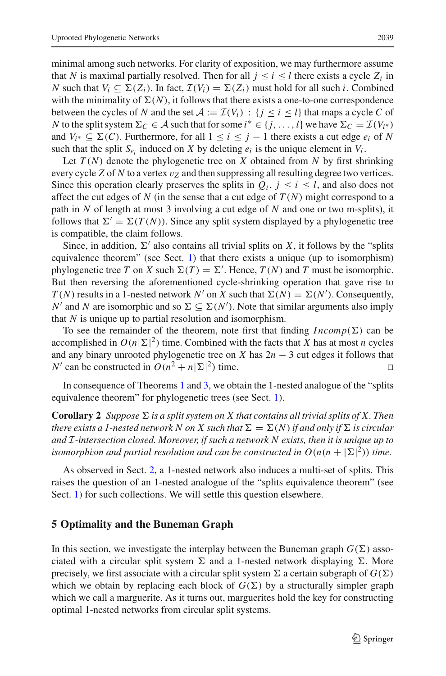minimal among such networks. For clarity of exposition, we may furthermore assume that *N* is maximal partially resolved. Then for all  $j \leq i \leq l$  there exists a cycle  $Z_i$  in *N* such that  $V_i$  ⊆  $\Sigma(Z_i)$ . In fact,  $\mathcal{I}(V_i) = \Sigma(Z_i)$  must hold for all such *i*. Combined with the minimality of  $\Sigma(N)$ , it follows that there exists a one-to-one correspondence between the cycles of *N* and the set  $A := \mathcal{I}(V_i) : \{j \leq i \leq l\}$  that maps a cycle *C* of *N* to the split system  $\Sigma_C \in \mathcal{A}$  such that for some  $i^* \in \{j,\ldots,l\}$  we have  $\Sigma_C = \mathcal{I}(V_{i^*})$ and *V<sub>i</sub>*∗ ⊆  $\Sigma$ (*C*). Furthermore, for all  $1 \le i \le j - 1$  there exists a cut edge *e<sub>i</sub>* of *N* such that the split  $S_e$  induced on *X* by deleting  $e_i$  is the unique element in  $V_i$ .

Let  $T(N)$  denote the phylogenetic tree on  $X$  obtained from  $N$  by first shrinking every cycle *Z* of *N* to a vertex  $v_Z$  and then suppressing all resulting degree two vertices. Since this operation clearly preserves the splits in  $Q_i$ ,  $j \leq i \leq l$ , and also does not affect the cut edges of  $N$  (in the sense that a cut edge of  $T(N)$  might correspond to a path in *N* of length at most 3 involving a cut edge of *N* and one or two m-splits), it follows that  $\Sigma' = \Sigma(T(N))$ . Since any split system displayed by a phylogenetic tree is compatible, the claim follows.

Since, in addition,  $\Sigma'$  also contains all trivial splits on *X*, it follows by the "splits" equivalence theorem" (see Sect. [1\)](#page-1-1) that there exists a unique (up to isomorphism) phylogenetic tree *T* on *X* such  $\Sigma(T) = \Sigma'$ . Hence, *T*(*N*) and *T* must be isomorphic. But then reversing the aforementioned cycle-shrinking operation that gave rise to  $T(N)$  results in a 1-nested network  $N'$  on  $X$  such that  $\Sigma(N) = \Sigma(N')$ . Consequently,  $N'$  and *N* are isomorphic and so  $\Sigma \subseteq \Sigma(N')$ . Note that similar arguments also imply that *N* is unique up to partial resolution and isomorphism.

To see the remainder of the theorem, note first that finding  $Incomp(\Sigma)$  can be accomplished in  $O(n|\Sigma|^2)$  time. Combined with the facts that *X* has at most *n* cycles and any binary unrooted phylogenetic tree on *X* has  $2n - 3$  cut edges it follows that *N*<sup> $\prime$ </sup> can be constructed in  $O(n^2 + n|\Sigma|^2)$  time.

<span id="page-17-0"></span>In consequence of Theorems [1](#page-8-0) and [3,](#page-16-0) we obtain the 1-nested analogue of the "splits equivalence theorem" for phylogenetic trees (see Sect. [1\)](#page-1-1).

**Corollary 2** *Suppose*  $\Sigma$  *is a split system on X that contains all trivial splits of X. Then* there exists a 1-nested network N on X such that  $\Sigma = \Sigma(N)$  if and only if  $\Sigma$  is circular *and I-intersection closed. Moreover, if such a network N exists, then it is unique up to isomorphism and partial resolution and can be constructed in*  $O(n(n + |\Sigma|^2))$  *time.* 

As observed in Sect. [2,](#page-3-0) a 1-nested network also induces a multi-set of splits. This raises the question of an 1-nested analogue of the "splits equivalence theorem" (see Sect. [1\)](#page-1-1) for such collections. We will settle this question elsewhere.

#### <span id="page-17-1"></span>**5 Optimality and the Buneman Graph**

In this section, we investigate the interplay between the Buneman graph  $G(\Sigma)$  associated with a circular split system  $\Sigma$  and a 1-nested network displaying  $\Sigma$ . More precisely, we first associate with a circular split system  $\Sigma$  a certain subgraph of  $G(\Sigma)$ which we obtain by replacing each block of  $G(\Sigma)$  by a structurally simpler graph which we call a marguerite. As it turns out, marguerites hold the key for constructing optimal 1-nested networks from circular split systems.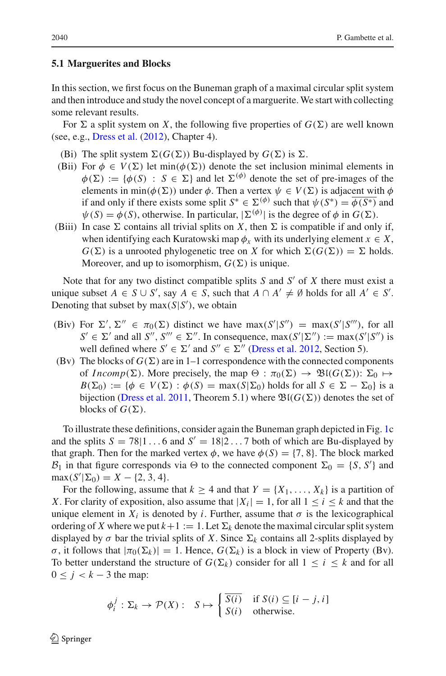#### **5.1 Marguerites and Blocks**

In this section, we first focus on the Buneman graph of a maximal circular split system and then introduce and study the novel concept of a marguerite.We start with collecting some relevant results.

For  $\Sigma$  a split system on *X*, the following five properties of  $G(\Sigma)$  are well known (see, e.g., [Dress et al.](#page-25-9) [\(2012](#page-25-9)), Chapter 4).

- (Bi) The split system  $\Sigma(G(\Sigma))$  Bu-displayed by  $G(\Sigma)$  is  $\Sigma$ .
- (Bii) For  $\phi \in V(\Sigma)$  let min( $\phi(\Sigma)$ ) denote the set inclusion minimal elements in  $\phi(\Sigma) := {\phi(S) : S \in \Sigma}$  and let  $\Sigma^{(\phi)}$  denote the set of pre-images of the elements in min( $\phi(\Sigma)$ ) under  $\phi$ . Then a vertex  $\psi \in V(\Sigma)$  is adjacent with  $\phi$ if and only if there exists some split  $S^* \in \Sigma^{(\phi)}$  such that  $\psi(S^*) = \overline{\phi(S^*)}$  and  $\psi(S) = \phi(S)$ , otherwise. In particular,  $|\Sigma^{(\phi)}|$  is the degree of  $\phi$  in  $G(\Sigma)$ .
- (Biii) In case  $\Sigma$  contains all trivial splits on X, then  $\Sigma$  is compatible if and only if, when identifying each Kuratowski map  $\phi_x$  with its underlying element  $x \in X$ ,  $G(\Sigma)$  is a unrooted phylogenetic tree on *X* for which  $\Sigma(G(\Sigma)) = \Sigma$  holds. Moreover, and up to isomorphism,  $G(\Sigma)$  is unique.

Note that for any two distinct compatible splits *S* and *S'* of *X* there must exist a unique subset  $A \in S \cup S'$ , say  $A \in S$ , such that  $A \cap A' \neq \emptyset$  holds for all  $A' \in S'$ . Denoting that subset by  $max(S|S')$ , we obtain

- (Biv) For  $\Sigma'$ ,  $\Sigma'' \in \pi_0(\Sigma)$  distinct we have max(*S'*|*S''*) = max(*S'*|*S'''*), for all  $S' \in \Sigma'$  and all  $S'', S''' \in \Sigma''$ . In consequence, max $(S' | \Sigma'') := \max(S' | S'')$  is well defined where  $S' \in \Sigma'$  and  $S'' \in \Sigma''$  [\(Dress et al. 2012,](#page-25-9) Section 5).
- (Bv) The blocks of  $G(\Sigma)$  are in 1–1 correspondence with the connected components of *Incomp*( $\Sigma$ ). More precisely, the map  $\Theta : \pi_0(\Sigma) \to \mathfrak{B}((G(\Sigma)) : \Sigma_0 \mapsto$  $B(\Sigma_0) := \{ \phi \in V(\Sigma) : \phi(S) = \max(S|\Sigma_0) \text{ holds for all } S \in \Sigma - \Sigma_0 \} \text{ is a }$ bijection [\(Dress et al. 2011,](#page-25-8) Theorem 5.1) where  $\mathfrak{B}(G(\Sigma))$  denotes the set of blocks of  $G(\Sigma)$ .

To illustrate these definitions, consider again the Buneman graph depicted in Fig. [1c](#page-1-0) and the splits  $S = 78|1...6$  and  $S' = 18|2...7$  both of which are Bu-displayed by that graph. Then for the marked vertex  $\phi$ , we have  $\phi(S) = \{7, 8\}$ . The block marked  $B_1$  in that figure corresponds via  $\Theta$  to the connected component  $\Sigma_0 = \{S, S'\}$  and  $max(S'|\Sigma_0) = X - \{2, 3, 4\}.$ 

For the following, assume that  $k \geq 4$  and that  $Y = \{X_1, \ldots, X_k\}$  is a partition of *X*. For clarity of exposition, also assume that  $|X_i| = 1$ , for all  $1 \le i \le k$  and that the unique element in  $X_i$  is denoted by *i*. Further, assume that  $\sigma$  is the lexicographical ordering of *X* where we put  $k+1 := 1$ . Let  $\Sigma_k$  denote the maximal circular split system displayed by  $\sigma$  bar the trivial splits of X. Since  $\Sigma_k$  contains all 2-splits displayed by *σ*, it follows that  $|\pi_0(\Sigma_k)| = 1$ . Hence,  $G(\Sigma_k)$  is a block in view of Property (Bv). To better understand the structure of  $G(\Sigma_k)$  consider for all  $1 \leq i \leq k$  and for all  $0 \leq j < k - 3$  the map:

$$
\phi_i^j : \Sigma_k \to \mathcal{P}(X) : \quad S \mapsto \begin{cases} \overline{S(i)} & \text{if } S(i) \subseteq [i-j, i] \\ S(i) & \text{otherwise.} \end{cases}
$$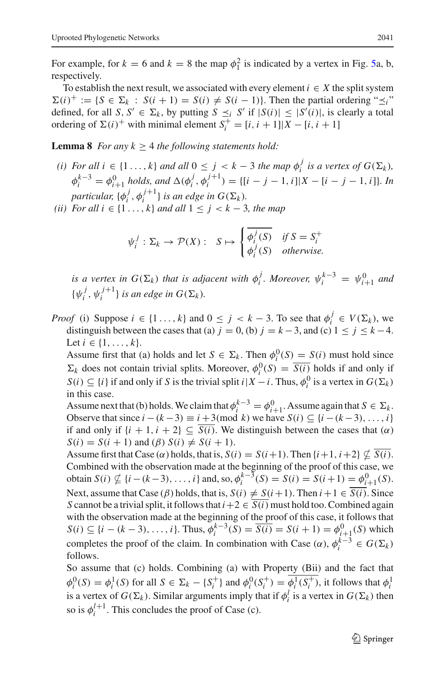For example, for  $k = 6$  and  $k = 8$  the map  $\phi_1^2$  is indicated by a vertex in Fig. [5a](#page-20-0), b, respectively.

To establish the next result, we associated with every element  $i \in X$  the split system  $\Sigma(i)^+ := \{ S \in \Sigma_k : S(i+1) = S(i) \neq S(i-1) \}.$  Then the partial ordering " $\preceq_i$ " defined, for all *S*,  $S' \in \Sigma_k$ , by putting  $S \leq i \ S'$  if  $|S(i)| \leq |S'(i)|$ , is clearly a total ordering of  $\Sigma(i)^+$  with minimal element  $S_i^+ = [i, i + 1]|X - [i, i + 1]$ 

<span id="page-19-0"></span>**Lemma 8** *For any*  $k \geq 4$  *the following statements hold:* 

- *(i)* For all  $i \in \{1, ..., k\}$  and all  $0 \leq j < k 3$  the map  $\phi_i^j$  is a vertex of  $G(\Sigma_k)$ ,  $\phi_i^{k-3} = \phi_{i+1}^0$  *holds, and*  $\Delta(\phi_i^j, \phi_i^{j+1}) = \{[i-j-1, i]|X - [i-j-1, i]\}$ *. In particular,*  $\{\phi_i^j, \phi_i^{j+1}\}$  *is an edge in*  $G(\Sigma_k)$ *.*
- *(ii)* For all  $i \in \{1, ..., k\}$  and all  $1 \leq j < k 3$ , the map

$$
\psi_i^j : \Sigma_k \to \mathcal{P}(X) : \quad S \mapsto \begin{cases} \overline{\phi_i^j(S)} & \text{if } S = S_i^+ \\ \phi_i^j(S) & \text{otherwise.} \end{cases}
$$

*is a vertex in*  $G(\Sigma_k)$  *that is adjacent with*  $\phi_i^j$ *. Moreover,*  $\psi_i^{k-3} = \psi_{i+1}^0$  *and*  $\{\psi_i^j, \psi_i^{j+1}\}\$ is an edge in  $G(\Sigma_k)$ .

*Proof* (i) Suppose  $i \in \{1, ..., k\}$  and  $0 \le j \le k - 3$ . To see that  $\phi_i^j \in V(\Sigma_k)$ , we distinguish between the cases that (a)  $j = 0$ , (b)  $j = k - 3$ , and (c)  $1 \le j \le k - 4$ . Let  $i \in \{1, ..., k\}.$ 

Assume first that (a) holds and let  $S \in \Sigma_k$ . Then  $\phi_i^0(S) = S(i)$  must hold since  $\Sigma_k$  does not contain trivial splits. Moreover,  $\phi_i^0(S) = \overline{S(i)}$  holds if and only if *S*(*i*) ⊆ {*i*} if and only if *S* is the trivial split *i*|*X* − *i*. Thus,  $\phi_i^0$  is a vertex in  $G(\Sigma_k)$ in this case.

Assume next that (b) holds. We claim that  $\phi_i^{k-3} = \phi_{i+1}^0$ . Assume again that  $S \in \Sigma_k$ . Observe that since  $i - (k-3) \equiv i + 3 \pmod{k}$  we have  $S(i) \subseteq \{i - (k-3), \ldots, i\}$ if and only if  $\{i + 1, i + 2\} \subseteq \overline{S(i)}$ . We distinguish between the cases that  $(\alpha)$  $S(i) = S(i + 1)$  and  $(\beta) S(i) \neq S(i + 1)$ .

Assume first that Case ( $\alpha$ ) holds, that is,  $S(i) = S(i+1)$ . Then  $\{i+1, i+2\} \nsubseteq \overline{S(i)}$ . Combined with the observation made at the beginning of the proof of this case, we obtain  $S(i) \nsubseteq \{i - (k-3), \ldots, i\}$  and, so,  $\phi_i^{k-3}(S) = S(i) = S(i+1) = \phi_{i+1}^0(S)$ . Next, assume that Case ( $\beta$ ) holds, that is,  $S(i) \neq S(i+1)$ . Then  $i+1 \in \overline{S(i)}$ . Since *S* cannot be a trivial split, it follows that  $i+2 \in \overline{S(i)}$  must hold too. Combined again with the observation made at the beginning of the proof of this case, it follows that *S*(*i*) ⊆ {*i* − (*k* − 3), . . . , *i*}. Thus,  $\phi_i^{k-3}(\overline{S}) = \overline{S(i)} = S(i + 1) = \phi_{i+1}^0(S)$  which completes the proof of the claim. In combination with Case  $(\alpha)$ ,  $\phi_i^{k-3} \in G(\Sigma_k)$ follows.

So assume that (c) holds. Combining (a) with Property (Bii) and the fact that  $\phi_i^0(S) = \phi_i^1(S)$  for all  $S \in \Sigma_k - \{S_i^+\}\$ and  $\phi_i^0(S_i^+) = \phi_i^1(S_i^+)$ , it follows that  $\phi_i^1$ is a vertex of  $G(\Sigma_k)$ . Similar arguments imply that if  $\phi_i^l$  is a vertex in  $G(\Sigma_k)$  then so is  $\phi_i^{l+1}$ . This concludes the proof of Case (c).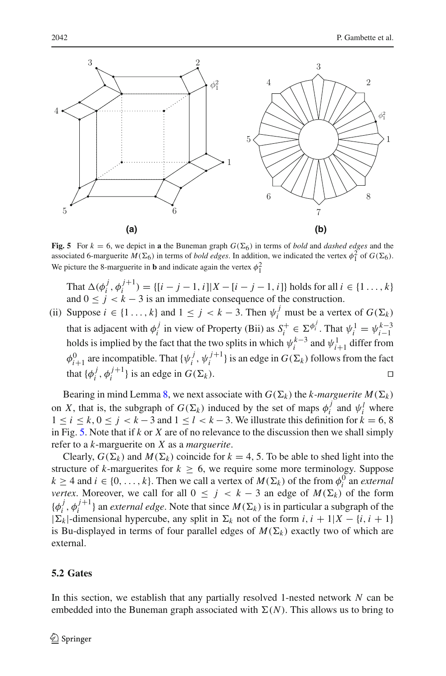

<span id="page-20-0"></span>**Fig. 5** For  $k = 6$ , we depict in **a** the Buneman graph  $G(\Sigma_6)$  in terms of *bold* and *dashed edges* and the associated 6-marguerite  $\overline{M}(\Sigma_6)$  in terms of *bold edges*. In addition, we indicated the vertex  $\phi_1^2$  of  $G(\Sigma_6)$ . We picture the 8-marguerite in **b** and indicate again the vertex  $\phi_1^2$ 

That  $\Delta(\phi_i^j, \phi_i^{j+1}) = \{ [i - j - 1, i] | X - [i - j - 1, i] \}$  holds for all  $i \in \{1 \dots, k\}$ and  $0 \le j \le k - 3$  is an immediate consequence of the construction.

(ii) Suppose  $i \in \{1 \ldots, k\}$  and  $1 \leq j < k - 3$ . Then  $\psi_i^j$  must be a vertex of  $G(\Sigma_k)$ that is adjacent with  $\phi_i^j$  in view of Property (Bii) as  $S_i^+ \in \Sigma^{\phi_i^j}$ . That  $\psi_i^1 = \psi_{i-1}^{k-3}$ holds is implied by the fact that the two splits in which  $\psi_i^{k-3}$  and  $\psi_{i+1}^1$  differ from  $\phi_{i+1}^0$  are incompatible. That  $\{\psi_i^j, \psi_i^{j+1}\}$  is an edge in  $G(\Sigma_k)$  follows from the fact that  $\{\phi_i^j, \phi_i^{j+1}\}\$ is an edge in  $G(\Sigma)$  $\Box$ 

Bearing in mind Lemma [8,](#page-19-0) we next associate with  $G(\Sigma_k)$  the *k*-marguerite  $M(\Sigma_k)$ on *X*, that is, the subgraph of  $G(\Sigma_k)$  induced by the set of maps  $\phi_i^j$  and  $\psi_i^l$  where  $1 \le i \le k, 0 \le j \le k-3$  and  $1 \le l \le k-3$ . We illustrate this definition for  $k = 6, 8$ in Fig. [5.](#page-20-0) Note that if *k* or *X* are of no relevance to the discussion then we shall simply refer to a *k*-marguerite on *X* as a *marguerite*.

Clearly,  $G(\Sigma_k)$  and  $M(\Sigma_k)$  coincide for  $k = 4, 5$ . To be able to shed light into the structure of *k*-marguerites for  $k \geq 6$ , we require some more terminology. Suppose  $k \geq 4$  and  $i \in \{0, \ldots, k\}$ . Then we call a vertex of  $M(\Sigma_k)$  of the from  $\phi_i^0$  an *external vertex.* Moreover, we call for all  $0 \leq j \leq k - 3$  an edge of  $M(\Sigma_k)$  of the form  $\{\phi_i^j, \phi_i^{j+1}\}\$ an *external edge*. Note that since  $M(\Sigma_k)$  is in particular a subgraph of the  $|\Sigma_k|$ -dimensional hypercube, any split in  $\Sigma_k$  not of the form *i*, *i* + 1|*X* − {*i*, *i* + 1} is Bu-displayed in terms of four parallel edges of  $M(\Sigma_k)$  exactly two of which are external.

#### **5.2 Gates**

In this section, we establish that any partially resolved 1-nested network *N* can be embedded into the Buneman graph associated with  $\Sigma(N)$ . This allows us to bring to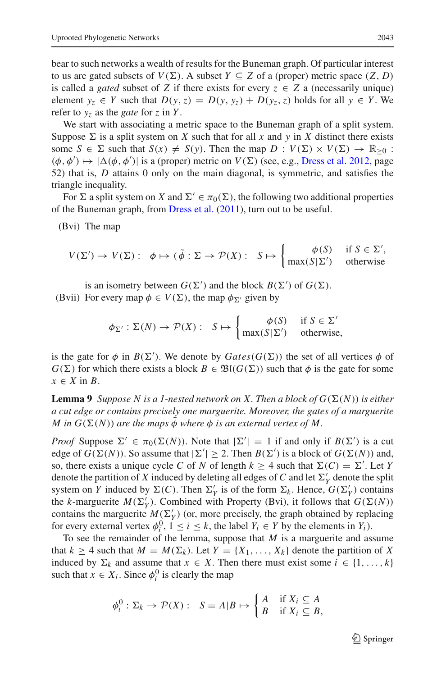bear to such networks a wealth of results for the Buneman graph. Of particular interest to us are gated subsets of  $V(\Sigma)$ . A subset  $Y \subseteq Z$  of a (proper) metric space  $(Z, D)$ is called a *gated* subset of *Z* if there exists for every  $z \in Z$  a (necessarily unique) element  $y_z \in Y$  such that  $D(y, z) = D(y, y_z) + D(y_z, z)$  holds for all  $y \in Y$ . We refer to  $y_7$  as the *gate* for *z* in *Y*.

We start with associating a metric space to the Buneman graph of a split system. Suppose  $\Sigma$  is a split system on *X* such that for all *x* and *y* in *X* distinct there exists some  $S \in \Sigma$  such that  $S(x) \neq S(y)$ . Then the map  $D : V(\Sigma) \times V(\Sigma) \to \mathbb{R}_{\geq 0}$ :  $(\phi, \phi') \mapsto |\Delta(\phi, \phi')|$  is a (proper) metric on  $V(\Sigma)$  (see, e.g., [Dress et al. 2012](#page-25-9), page 52) that is, *D* attains 0 only on the main diagonal, is symmetric, and satisfies the triangle inequality.

For  $\Sigma$  a split system on *X* and  $\Sigma' \in \pi_0(\Sigma)$ , the following two additional properties of the Buneman graph, from [Dress et al.](#page-25-8) [\(2011\)](#page-25-8), turn out to be useful.

(Bvi) The map

$$
V(\Sigma') \to V(\Sigma): \phi \mapsto (\tilde{\phi}: \Sigma \to \mathcal{P}(X): S \mapsto \begin{cases} \phi(S) & \text{if } S \in \Sigma', \\ \max(S|\Sigma') & \text{otherwise} \end{cases}
$$

is an isometry between  $G(\Sigma')$  and the block  $B(\Sigma')$  of  $G(\Sigma)$ . (Bvii) For every map  $\phi \in V(\Sigma)$ , the map  $\phi_{\Sigma'}$  given by

$$
\phi_{\Sigma'} : \Sigma(N) \to \mathcal{P}(X) : S \mapsto \begin{cases} \phi(S) & \text{if } S \in \Sigma' \\ \max(S|\Sigma') & \text{otherwise,} \end{cases}
$$

is the gate for  $\phi$  in  $B(\Sigma')$ . We denote by  $Gates(G(\Sigma))$  the set of all vertices  $\phi$  of  $G(\Sigma)$  for which there exists a block  $B \in \mathfrak{B}((G(\Sigma))$  such that  $\phi$  is the gate for some  $x \in X$  in *B*.

**Lemma 9** *Suppose N is a 1-nested network on X*. Then a block of  $G(\Sigma(N))$  is either *a cut edge or contains precisely one marguerite. Moreover, the gates of a marguerite*  $M$  *in*  $G(\Sigma(N))$  are the maps  $\phi$  where  $\phi$  is an external vertex of M.

*Proof* Suppose  $\Sigma' \in \pi_0(\Sigma(N))$ . Note that  $|\Sigma'| = 1$  if and only if  $B(\Sigma')$  is a cut edge of *G*( $\Sigma(N)$ ). So assume that  $|\Sigma'| \geq 2$ . Then *B*( $\Sigma'$ ) is a block of *G*( $\Sigma(N)$ ) and, so, there exists a unique cycle *C* of *N* of length  $k \geq 4$  such that  $\Sigma(C) = \Sigma'$ . Let *Y* denote the partition of *X* induced by deleting all edges of *C* and let  $\Sigma'_Y$  denote the split system on *Y* induced by  $\Sigma(C)$ . Then  $\Sigma'_{Y}$  is of the form  $\Sigma_{k}$ . Hence,  $G(\Sigma'_{Y})$  contains the *k*-marguerite  $M(\Sigma'_Y)$ . Combined with Property (Bvi), it follows that  $G(\Sigma(N))$ contains the marguerite  $M(\Sigma'_Y)$  (or, more precisely, the graph obtained by replacing for every external vertex  $\phi_i^0$ ,  $1 \le i \le k$ , the label  $Y_i \in Y$  by the elements in  $Y_i$ ).

To see the remainder of the lemma, suppose that *M* is a marguerite and assume that  $k \geq 4$  such that  $M = M(\Sigma_k)$ . Let  $Y = \{X_1, \ldots, X_k\}$  denote the partition of X induced by  $\Sigma_k$  and assume that  $x \in X$ . Then there must exist some  $i \in \{1, ..., k\}$ such that  $x \in X_i$ . Since  $\phi_i^0$  is clearly the map

$$
\phi_i^0: \Sigma_k \to \mathcal{P}(X): \quad S = A|B \mapsto \begin{cases} A & \text{if } X_i \subseteq A \\ B & \text{if } X_i \subseteq B, \end{cases}
$$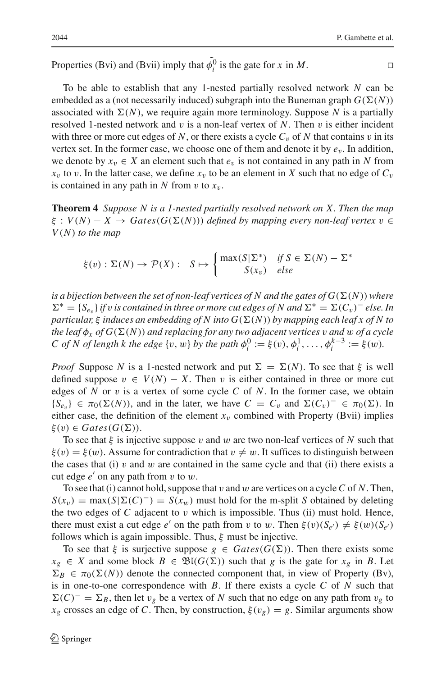Properties (Bvi) and (Bvii) imply that  $\phi_i^0$  is the gate for *x* in *M*.

To be able to establish that any 1-nested partially resolved network *N* can be embedded as a (not necessarily induced) subgraph into the Buneman graph  $G(\Sigma(N))$ associated with  $\Sigma(N)$ , we require again more terminology. Suppose N is a partially resolved 1-nested network and v is a non-leaf vertex of *N*. Then v is either incident with three or more cut edges of N, or there exists a cycle  $C_v$  of N that contains v in its vertex set. In the former case, we choose one of them and denote it by *e*v. In addition, we denote by  $x_v \in X$  an element such that  $e_v$  is not contained in any path in N from  $x_v$  to v. In the latter case, we define  $x_v$  to be an element in *X* such that no edge of  $C_v$ is contained in any path in  $N$  from  $v$  to  $x_v$ .

<span id="page-22-0"></span>**Theorem 4** *Suppose N is a 1-nested partially resolved network on X. Then the map*  $\xi : V(N) - X \rightarrow Gates(G(\Sigma(N)))$  *defined by mapping every non-leaf vertex*  $v \in$ *V*(*N*) *to the map*

$$
\xi(v) : \Sigma(N) \to \mathcal{P}(X) : S \mapsto \begin{cases} \max(S|\Sigma^*) & \text{if } S \in \Sigma(N) - \Sigma^* \\ S(x_v) & \text{else} \end{cases}
$$

is a bijection between the set of non-leaf vertices of N and the gates of  $G(\Sigma(N))$  where  $\Sigma^* = \{S_{e_v}\}\$ if v is contained in three or more cut edges of N and  $\Sigma^* = \Sigma(C_v)^-$  else. In *particular,* ξ *induces an embedding of N into G*(-(*N*)) *by mapping each leaf x of N to*  $t$ he leaf  $\phi_x$  of  $G(\Sigma(N))$  and replacing for any two adjacent vertices  $v$  and  $w$  of a cycle *C* of *N* of length *k* the edge {v, w} by the path  $\phi_i^0 := \xi(v), \phi_i^1, \ldots, \phi_i^{k-3} := \xi(w)$ .

*Proof* Suppose *N* is a 1-nested network and put  $\Sigma = \Sigma(N)$ . To see that  $\xi$  is well defined suppose  $v \in V(N) - X$ . Then v is either contained in three or more cut edges of  $N$  or  $v$  is a vertex of some cycle  $C$  of  $N$ . In the former case, we obtain  ${S_{e_v}}$  ∈  $\pi_0(\Sigma(N))$ , and in the later, we have  $C = C_v$  and  $\Sigma(C_v)^- \in \pi_0(\Sigma)$ . In either case, the definition of the element  $x<sub>v</sub>$  combined with Property (Bvii) implies  $\xi(v) \in Gates(G(\Sigma)).$ 

To see that  $\xi$  is injective suppose v and w are two non-leaf vertices of N such that  $\xi(v) = \xi(w)$ . Assume for contradiction that  $v \neq w$ . It suffices to distinguish between the cases that (i)  $\nu$  and  $\nu$  are contained in the same cycle and that (ii) there exists a cut edge  $e'$  on any path from  $v$  to  $w$ .

To see that (i) cannot hold, suppose that v and w are vertices on a cycle*C* of *N*. Then,  $S(x_v) = \max(S|\Sigma(C)^{-}) = S(x_w)$  must hold for the m-split *S* obtained by deleting the two edges of  $C$  adjacent to  $v$  which is impossible. Thus (ii) must hold. Hence, there must exist a cut edge  $e'$  on the path from v to w. Then  $\xi(v)(S_{e'}) \neq \xi(w)(S_{e'})$ follows which is again impossible. Thus,  $\xi$  must be injective.

To see that  $\xi$  is surjective suppose  $g \in Gates(G(\Sigma))$ . Then there exists some *x<sub>g</sub>* ∈ *X* and some block *B* ∈  $\mathfrak{B}$ I( $G(\Sigma)$ ) such that *g* is the gate for *x<sub>g</sub>* in *B*. Let  $\Sigma_B \in \pi_0(\Sigma(N))$  denote the connected component that, in view of Property (Bv), is in one-to-one correspondence with *B*. If there exists a cycle *C* of *N* such that  $\Sigma(C)^{-} = \Sigma_B$ , then let  $v_g$  be a vertex of *N* such that no edge on any path from  $v_g$  to  $x_g$  crosses an edge of *C*. Then, by construction,  $\xi(v_g) = g$ . Similar arguments show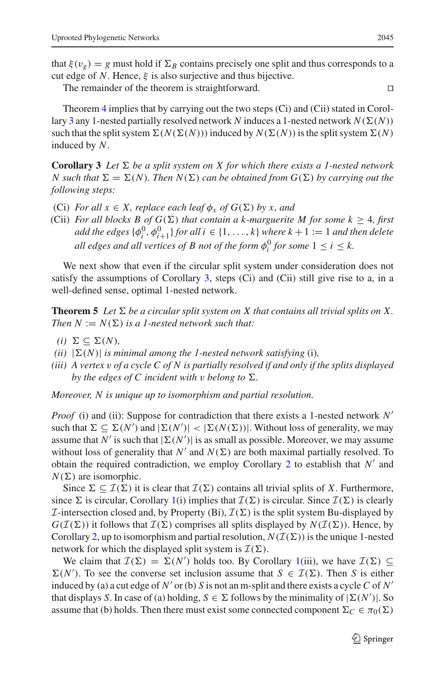that  $\xi(v_g) = g$  must hold if  $\Sigma_B$  contains precisely one split and thus corresponds to a cut edge of *N*. Hence,  $\xi$  is also surjective and thus bijective.

The remainder of the theorem is straightforward.

Theorem [4](#page-22-0) implies that by carrying out the two steps (Ci) and (Cii) stated in Corol-lary [3](#page-23-1) any 1-nested partially resolved network  $N$  induces a 1-nested network  $N(\Sigma(N))$ such that the split system  $\Sigma(N(\Sigma(N)))$  induced by  $N(\Sigma(N))$  is the split system  $\Sigma(N)$ induced by *N*.

<span id="page-23-1"></span>**Corollary 3** Let  $\Sigma$  be a split system on X for which there exists a 1-nested network  $N$  such that  $\Sigma = \Sigma(N)$ . Then  $N(\Sigma)$  can be obtained from  $G(\Sigma)$  by carrying out the *following steps:*

- (Ci) *For all*  $x \in X$ *, replace each leaf*  $\phi_x$  *of*  $G(\Sigma)$  *by x, and*
- (Cii) *For all blocks B of*  $G(\Sigma)$  *that contain a k-marguerite M for some k*  $\geq$  4*, first add the edges*  $\{\phi_i^0, \phi_{i+1}^0\}$  *for all i* ∈ {1, ..., *k*} *where k* + 1 := 1 *and then delete all edges and all vertices of B not of the form*  $\phi_i^0$  *for some*  $1 \leq i \leq k$ .

We next show that even if the circular split system under consideration does not satisfy the assumptions of Corollary [3,](#page-23-1) steps (Ci) and (Cii) still give rise to a, in a well-defined sense, optimal 1-nested network.

<span id="page-23-0"></span>**Theorem 5** Let  $\Sigma$  be a circular split system on X that contains all trivial splits on X. *Then*  $N := N(\Sigma)$  *is a 1-nested network such that:* 

- $(i) \Sigma \subseteq \Sigma(N)$ ,
- $(iii)$   $|\Sigma(N)|$  *is minimal among the 1-nested network satisfying* (i),
- *(iii) A vertex* v *of a cycle C of N is partially resolved if and only if the splits displayed by the edges of C incident with v belong to*  $\Sigma$ *.*

*Moreover, N is unique up to isomorphism and partial resolution.*

*Proof* (i) and (ii): Suppose for contradiction that there exists a 1-nested network *N* such that  $\Sigma \subseteq \Sigma(N')$  and  $|\Sigma(N')| < |\Sigma(N(\Sigma))|$ . Without loss of generality, we may assume that *N*<sup> $\prime$ </sup> is such that  $|\Sigma(N')|$  is as small as possible. Moreover, we may assume without loss of generality that  $N'$  and  $N(\Sigma)$  are both maximal partially resolved. To obtain the required contradiction, we employ Corollary [2](#page-17-0) to establish that  $N'$  and  $N(\Sigma)$  are isomorphic.

Since  $\Sigma \subseteq \mathcal{I}(\Sigma)$  it is clear that  $\mathcal{I}(\Sigma)$  contains all trivial splits of *X*. Furthermore, since  $\Sigma$  is circular, Corollary [1\(](#page-8-1)i) implies that  $\mathcal{I}(\Sigma)$  is circular. Since  $\mathcal{I}(\Sigma)$  is clearly *I*-intersection closed and, by Property (Bi),  $\mathcal{I}(\Sigma)$  is the split system Bu-displayed by  $G(\mathcal{I}(\Sigma))$  it follows that  $\mathcal{I}(\Sigma)$  comprises all splits displayed by  $N(\mathcal{I}(\Sigma))$ . Hence, by Corollary [2,](#page-17-0) up to isomorphism and partial resolution,  $N(\mathcal{I}(\Sigma))$  is the unique 1-nested network for which the displayed split system is  $\mathcal{I}(\Sigma)$ .

We claim that  $\mathcal{I}(\Sigma) = \Sigma(N')$  holds too. By Corollary [1\(](#page-8-1)iii), we have  $\mathcal{I}(\Sigma) \subseteq$  $\Sigma(N')$ . To see the converse set inclusion assume that  $S \in \mathcal{I}(\Sigma)$ . Then *S* is either induced by (a) a cut edge of  $N'$  or (b) *S* is not an m-split and there exists a cycle *C* of  $N'$ that displays *S*. In case of (a) holding,  $S \in \Sigma$  follows by the minimality of  $|\Sigma(N')|$ . So assume that (b) holds. Then there must exist some connected component  $\Sigma_C \in \pi_0(\Sigma)$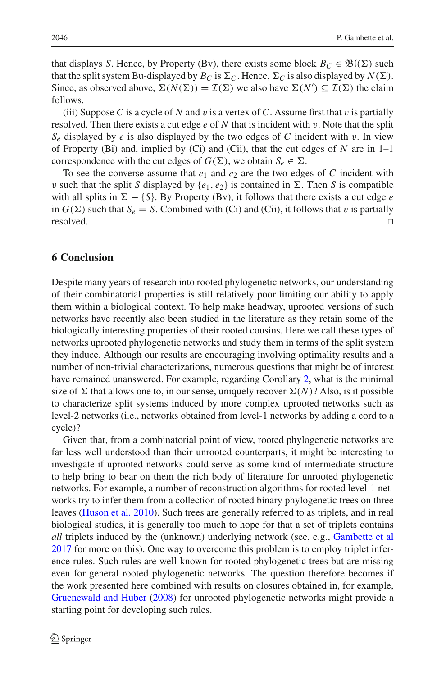that displays *S*. Hence, by Property (Bv), there exists some block  $B_C \in \mathfrak{B}(\Sigma)$  such that the split system Bu-displayed by  $B_C$  is  $\Sigma_C$ . Hence,  $\Sigma_C$  is also displayed by  $N(\Sigma)$ . Since, as observed above,  $\Sigma(N(\Sigma)) = \mathcal{I}(\Sigma)$  we also have  $\Sigma(N') \subseteq \mathcal{I}(\Sigma)$  the claim follows.

(iii) Suppose C is a cycle of N and v is a vertex of C. Assume first that v is partially resolved. Then there exists a cut edge *e* of *N* that is incident with v. Note that the split  $S_e$  displayed by *e* is also displayed by the two edges of *C* incident with v. In view of Property (Bi) and, implied by (Ci) and (Cii), that the cut edges of *N* are in 1–1 correspondence with the cut edges of  $G(\Sigma)$ , we obtain  $S_e \in \Sigma$ .

To see the converse assume that  $e_1$  and  $e_2$  are the two edges of C incident with v such that the split *S* displayed by  $\{e_1, e_2\}$  is contained in  $\Sigma$ . Then *S* is compatible with all splits in  $\Sigma - \{S\}$ . By Property (Bv), it follows that there exists a cut edge *e* in  $G(\Sigma)$  such that  $S_e = S$ . Combined with (Ci) and (Cii), it follows that v is partially  $\Box$ resolved.

#### <span id="page-24-0"></span>**6 Conclusion**

Despite many years of research into rooted phylogenetic networks, our understanding of their combinatorial properties is still relatively poor limiting our ability to apply them within a biological context. To help make headway, uprooted versions of such networks have recently also been studied in the literature as they retain some of the biologically interesting properties of their rooted cousins. Here we call these types of networks uprooted phylogenetic networks and study them in terms of the split system they induce. Although our results are encouraging involving optimality results and a number of non-trivial characterizations, numerous questions that might be of interest have remained unanswered. For example, regarding Corollary [2,](#page-17-0) what is the minimal size of  $\Sigma$  that allows one to, in our sense, uniquely recover  $\Sigma(N)$ ? Also, is it possible to characterize split systems induced by more complex uprooted networks such as level-2 networks (i.e., networks obtained from level-1 networks by adding a cord to a cycle)?

Given that, from a combinatorial point of view, rooted phylogenetic networks are far less well understood than their unrooted counterparts, it might be interesting to investigate if uprooted networks could serve as some kind of intermediate structure to help bring to bear on them the rich body of literature for unrooted phylogenetic networks. For example, a number of reconstruction algorithms for rooted level-1 networks try to infer them from a collection of rooted binary phylogenetic trees on three leaves [\(Huson et al. 2010\)](#page-25-1). Such trees are generally referred to as triplets, and in real biological studies, it is generally too much to hope for that a set of triplets contains *all* triplets induced by the (unknown) underlying network (see, e.g., [Gambette et al](#page-25-18) [2017](#page-25-18) for more on this). One way to overcome this problem is to employ triplet inference rules. Such rules are well known for rooted phylogenetic trees but are missing even for general rooted phylogenetic networks. The question therefore becomes if the work presented here combined with results on closures obtained in, for example, [Gruenewald and Huber](#page-25-19) [\(2008\)](#page-25-19) for unrooted phylogenetic networks might provide a starting point for developing such rules.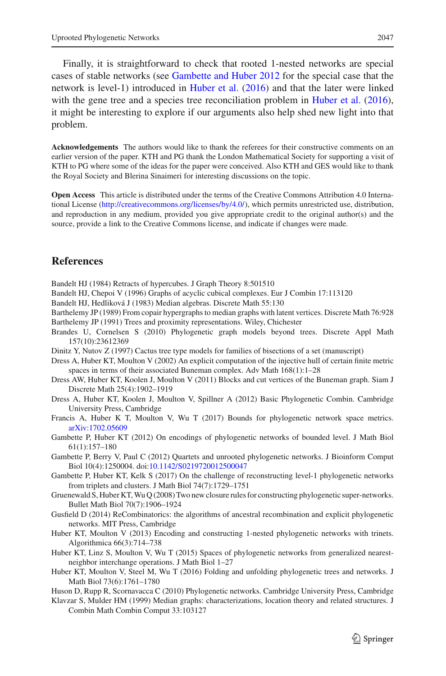Finally, it is straightforward to check that rooted 1-nested networks are special cases of stable networks (see [Gambette and Huber 2012](#page-25-2) for the special case that the network is level-1) introduced in [Huber et al.](#page-25-20) [\(2016\)](#page-25-20) and that the later were linked with the gene tree and a species tree reconciliation problem in [Huber et al.](#page-25-20) [\(2016](#page-25-20)), it might be interesting to explore if our arguments also help shed new light into that problem.

**Acknowledgements** The authors would like to thank the referees for their constructive comments on an earlier version of the paper. KTH and PG thank the London Mathematical Society for supporting a visit of KTH to PG where some of the ideas for the paper were conceived. Also KTH and GES would like to thank the Royal Society and Blerina Sinaimeri for interesting discussions on the topic.

**Open Access** This article is distributed under the terms of the Creative Commons Attribution 4.0 International License [\(http://creativecommons.org/licenses/by/4.0/\)](http://creativecommons.org/licenses/by/4.0/), which permits unrestricted use, distribution, and reproduction in any medium, provided you give appropriate credit to the original author(s) and the source, provide a link to the Creative Commons license, and indicate if changes were made.

### **References**

<span id="page-25-14"></span>Bandelt HJ (1984) Retracts of hypercubes. J Graph Theory 8:501510

- <span id="page-25-13"></span>Bandelt HJ, Chepoi V (1996) Graphs of acyclic cubical complexes. Eur J Combin 17:113120
- <span id="page-25-12"></span>Bandelt HJ, Hedliková J (1983) Median algebras. Discrete Math 55:130
- <span id="page-25-10"></span>Barthelemy JP (1989) From copair hypergraphs to median graphs with latent vertices. Discrete Math 76:928 Barthelemy JP (1991) Trees and proximity representations. Wiley, Chichester
- <span id="page-25-17"></span><span id="page-25-11"></span>Brandes U, Cornelsen S (2010) Phylogenetic graph models beyond trees. Discrete Appl Math 157(10):23612369
- <span id="page-25-7"></span>Dinitz Y, Nutov Z (1997) Cactus tree type models for families of bisections of a set (manuscript)
- <span id="page-25-15"></span>Dress A, Huber KT, Moulton V (2002) An explicit computation of the injective hull of certain finite metric spaces in terms of their associated Buneman complex. Adv Math 168(1):1–28
- <span id="page-25-9"></span>Dress AW, Huber KT, Koolen J, Moulton V (2011) Blocks and cut vertices of the Buneman graph. Siam J Discrete Math 25(4):1902–1919
- <span id="page-25-8"></span>Dress A, Huber KT, Koolen J, Moulton V, Spillner A (2012) Basic Phylogenetic Combin. Cambridge University Press, Cambridge
- <span id="page-25-4"></span>Francis A, Huber K T, Moulton V, Wu T (2017) Bounds for phylogenetic network space metrics. [arXiv:1702.05609](http://arxiv.org/abs/1702.05609)
- <span id="page-25-6"></span>Gambette P, Huber KT (2012) On encodings of phylogenetic networks of bounded level. J Math Biol 61(1):157–180
- <span id="page-25-2"></span>Gambette P, Berry V, Paul C (2012) Quartets and unrooted phylogenetic networks. J Bioinform Comput Biol 10(4):1250004. doi[:10.1142/S0219720012500047](http://dx.doi.org/10.1142/S0219720012500047)
- <span id="page-25-18"></span>Gambette P, Huber KT, Kelk S (2017) On the challenge of reconstructing level-1 phylogenetic networks from triplets and clusters. J Math Biol 74(7):1729–1751
- <span id="page-25-19"></span>Gruenewald S, Huber KT,Wu Q (2008) Two new closure rules for constructing phylogenetic super-networks. Bullet Math Biol 70(7):1906–1924
- <span id="page-25-0"></span>Gusfield D (2014) ReCombinatorics: the algorithms of ancestral recombination and explicit phylogenetic networks. MIT Press, Cambridge
- <span id="page-25-5"></span>Huber KT, Moulton V (2013) Encoding and constructing 1-nested phylogenetic networks with trinets. Algorithmica 66(3):714–738
- <span id="page-25-3"></span>Huber KT, Linz S, Moulton V, Wu T (2015) Spaces of phylogenetic networks from generalized nearestneighbor interchange operations. J Math Biol 1–27
- <span id="page-25-20"></span>Huber KT, Moulton V, Steel M, Wu T (2016) Folding and unfolding phylogenetic trees and networks. J Math Biol 73(6):1761–1780
- <span id="page-25-1"></span>Huson D, Rupp R, Scornavacca C (2010) Phylogenetic networks. Cambridge University Press, Cambridge
- <span id="page-25-16"></span>Klavzar S, Mulder HM (1999) Median graphs: characterizations, location theory and related structures. J Combin Math Combin Comput 33:103127